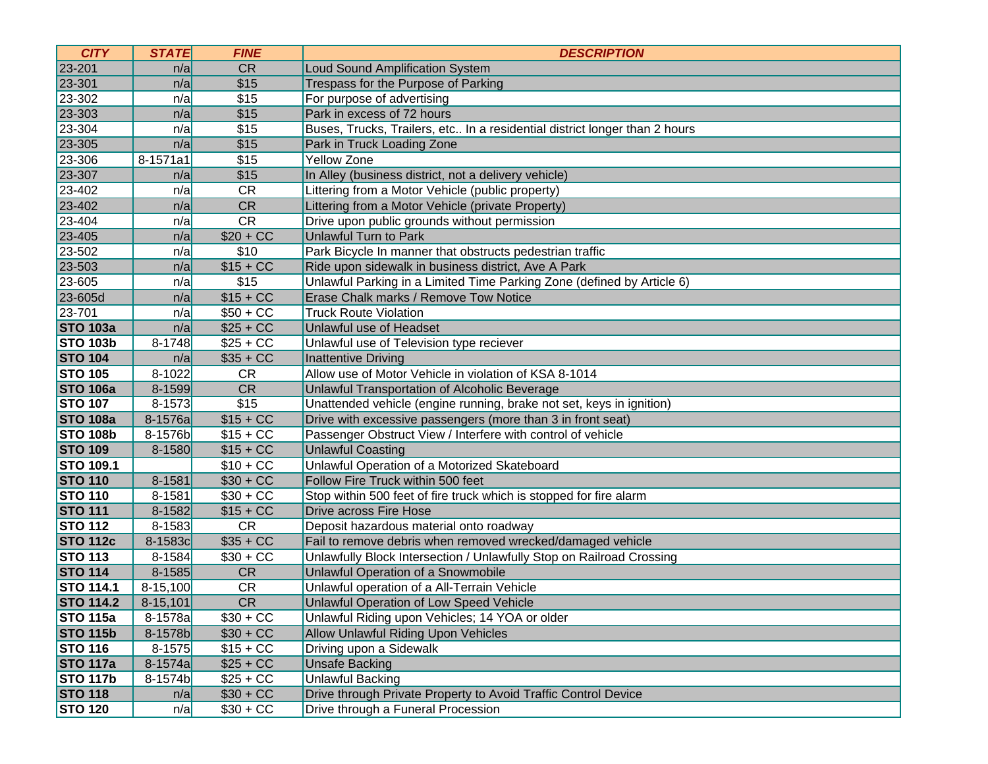| <b>CITY</b>      | <b>STATE</b> | <b>FINE</b> | <b>DESCRIPTION</b>                                                         |
|------------------|--------------|-------------|----------------------------------------------------------------------------|
| 23-201           | n/a          | <b>CR</b>   | <b>Loud Sound Amplification System</b>                                     |
| 23-301           | n/a          | \$15        | Trespass for the Purpose of Parking                                        |
| 23-302           | n/a          | \$15        | For purpose of advertising                                                 |
| 23-303           | n/a          | \$15        | Park in excess of 72 hours                                                 |
| 23-304           | n/a          | \$15        | Buses, Trucks, Trailers, etc In a residential district longer than 2 hours |
| 23-305           | n/a          | \$15        | Park in Truck Loading Zone                                                 |
| 23-306           | 8-1571a1     | \$15        | <b>Yellow Zone</b>                                                         |
| 23-307           | n/a          | \$15        | In Alley (business district, not a delivery vehicle)                       |
| 23-402           | n/a          | <b>CR</b>   | Littering from a Motor Vehicle (public property)                           |
| 23-402           | n/a          | CR          | Littering from a Motor Vehicle (private Property)                          |
| 23-404           | n/a          | CR          | Drive upon public grounds without permission                               |
| 23-405           | n/a          | $$20 + CC$  | <b>Unlawful Turn to Park</b>                                               |
| 23-502           | n/a          | \$10        | Park Bicycle In manner that obstructs pedestrian traffic                   |
| 23-503           | n/a          | $$15 + CC$  | Ride upon sidewalk in business district, Ave A Park                        |
| 23-605           | n/a          | \$15        | Unlawful Parking in a Limited Time Parking Zone (defined by Article 6)     |
| 23-605d          | n/a          | $$15 + CC$  | Erase Chalk marks / Remove Tow Notice                                      |
| 23-701           | n/a          | $$50 + CC$  | <b>Truck Route Violation</b>                                               |
| <b>STO 103a</b>  | n/a          | $$25 + CC$  | Unlawful use of Headset                                                    |
| <b>STO 103b</b>  | $8 - 1748$   | $$25 + CC$  | Unlawful use of Television type reciever                                   |
| <b>STO 104</b>   | n/a          | $$35 + CC$  | <b>Inattentive Driving</b>                                                 |
| <b>STO 105</b>   | 8-1022       | <b>CR</b>   | Allow use of Motor Vehicle in violation of KSA 8-1014                      |
| <b>STO 106a</b>  | 8-1599       | <b>CR</b>   | Unlawful Transportation of Alcoholic Beverage                              |
| <b>STO 107</b>   | $8 - 1573$   | \$15        | Unattended vehicle (engine running, brake not set, keys in ignition)       |
| <b>STO 108a</b>  | 8-1576a      | $$15 + CC$  | Drive with excessive passengers (more than 3 in front seat)                |
| <b>STO 108b</b>  | 8-1576b      | $$15 + CC$  | Passenger Obstruct View / Interfere with control of vehicle                |
| <b>STO 109</b>   | 8-1580       | $$15 + CC$  | <b>Unlawful Coasting</b>                                                   |
| <b>STO 109.1</b> |              | $$10 + CC$  | Unlawful Operation of a Motorized Skateboard                               |
| <b>STO 110</b>   | 8-1581       | $$30 + CC$  | Follow Fire Truck within 500 feet                                          |
| <b>STO 110</b>   | 8-1581       | $$30 + CC$  | Stop within 500 feet of fire truck which is stopped for fire alarm         |
| <b>STO 111</b>   | 8-1582       | $$15 + CC$  | Drive across Fire Hose                                                     |
| <b>STO 112</b>   | 8-1583       | <b>CR</b>   | Deposit hazardous material onto roadway                                    |
| <b>STO 112c</b>  | 8-1583c      | $$35 + CC$  | Fail to remove debris when removed wrecked/damaged vehicle                 |
| <b>STO 113</b>   | $8 - 1584$   | $$30 + CC$  | Unlawfully Block Intersection / Unlawfully Stop on Railroad Crossing       |
| <b>STO 114</b>   | 8-1585       | <b>CR</b>   | Unlawful Operation of a Snowmobile                                         |
| <b>STO 114.1</b> | $8-15,100$   | <b>CR</b>   | Unlawful operation of a All-Terrain Vehicle                                |
| <b>STO 114.2</b> | $8-15,101$   | CR          | <b>Unlawful Operation of Low Speed Vehicle</b>                             |
| <b>STO 115a</b>  | $8-1578a$    | $$30 + CC$  | Unlawful Riding upon Vehicles; 14 YOA or older                             |
| <b>STO 115b</b>  | 8-1578b      | $$30 + CC$  | <b>Allow Unlawful Riding Upon Vehicles</b>                                 |
| <b>STO 116</b>   | $8 - 1575$   | $$15 + CC$  | Driving upon a Sidewalk                                                    |
| <b>STO 117a</b>  | 8-1574a      | $$25 + CC$  | <b>Unsafe Backing</b>                                                      |
| <b>STO 117b</b>  | 8-1574b      | $$25 + CC$  | <b>Unlawful Backing</b>                                                    |
| <b>STO 118</b>   | n/a          | $$30 + CC$  | Drive through Private Property to Avoid Traffic Control Device             |
| <b>STO 120</b>   | n/a          | $$30 + CC$  | Drive through a Funeral Procession                                         |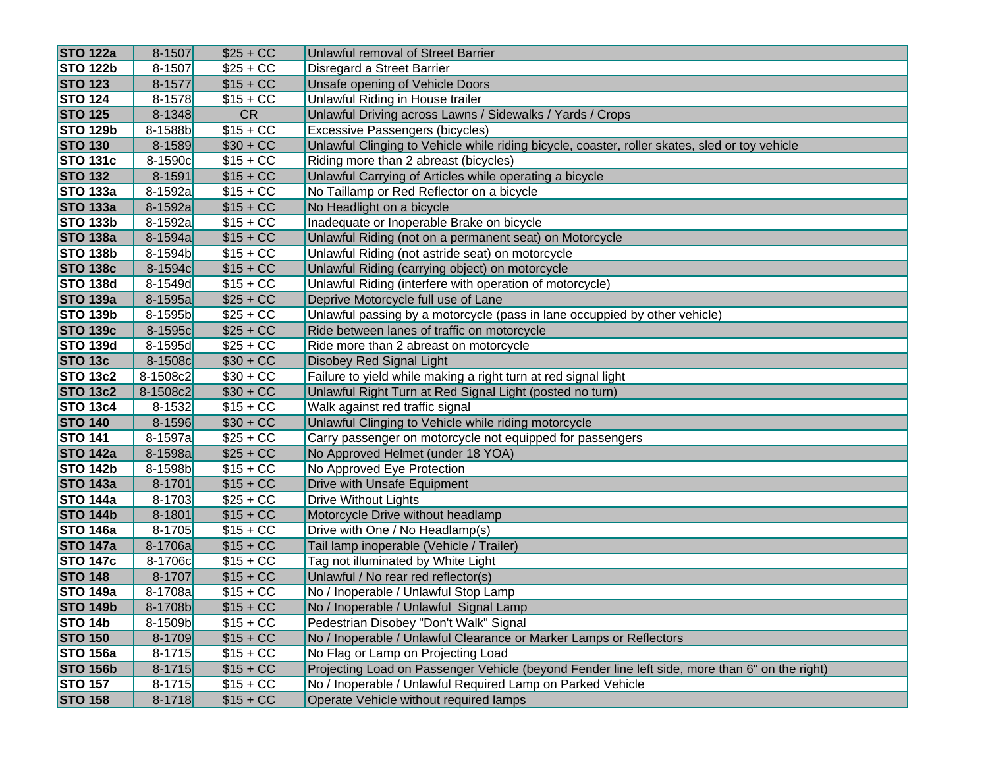| <b>STO 122a</b> | $8 - 1507$ | $$25 + CC$ | Unlawful removal of Street Barrier                                                             |
|-----------------|------------|------------|------------------------------------------------------------------------------------------------|
| <b>STO 122b</b> | 8-1507     | $$25 + CC$ | Disregard a Street Barrier                                                                     |
| <b>STO 123</b>  | $8 - 1577$ | $$15 + CC$ | Unsafe opening of Vehicle Doors                                                                |
| <b>STO 124</b>  | 8-1578     | $$15 + CC$ | Unlawful Riding in House trailer                                                               |
| <b>STO 125</b>  | $8 - 1348$ | <b>CR</b>  | Unlawful Driving across Lawns / Sidewalks / Yards / Crops                                      |
| <b>STO 129b</b> | 8-1588b    | $$15 + CC$ | Excessive Passengers (bicycles)                                                                |
| <b>STO 130</b>  | 8-1589     | $$30 + CC$ | Unlawful Clinging to Vehicle while riding bicycle, coaster, roller skates, sled or toy vehicle |
| <b>STO 131c</b> | 8-1590c    | $$15 + CC$ | Riding more than 2 abreast (bicycles)                                                          |
| <b>STO 132</b>  | $8 - 1591$ | $$15 + CC$ | Unlawful Carrying of Articles while operating a bicycle                                        |
| <b>STO 133a</b> | 8-1592a    | $$15 + CC$ | No Taillamp or Red Reflector on a bicycle                                                      |
| <b>STO 133a</b> | 8-1592a    | $$15 + CC$ | No Headlight on a bicycle                                                                      |
| <b>STO 133b</b> | 8-1592a    | $$15 + CC$ | Inadequate or Inoperable Brake on bicycle                                                      |
| <b>STO 138a</b> | 8-1594a    | $$15 + CC$ | Unlawful Riding (not on a permanent seat) on Motorcycle                                        |
| <b>STO 138b</b> | 8-1594b    | $$15 + CC$ | Unlawful Riding (not astride seat) on motorcycle                                               |
| <b>STO 138c</b> | 8-1594c    | $$15 + CC$ | Unlawful Riding (carrying object) on motorcycle                                                |
| <b>STO 138d</b> | 8-1549d    | $$15 + CC$ | Unlawful Riding (interfere with operation of motorcycle)                                       |
| <b>STO 139a</b> | 8-1595a    | $$25 + CC$ | Deprive Motorcycle full use of Lane                                                            |
| <b>STO 139b</b> | 8-1595b    | $$25 + CC$ | Unlawful passing by a motorcycle (pass in lane occuppied by other vehicle)                     |
| <b>STO 139c</b> | 8-1595c    | $$25 + CC$ | Ride between lanes of traffic on motorcycle                                                    |
| <b>STO 139d</b> | 8-1595d    | $$25 + CC$ | Ride more than 2 abreast on motorcycle                                                         |
| <b>STO 13c</b>  | 8-1508c    | $$30 + CC$ | Disobey Red Signal Light                                                                       |
| <b>STO 13c2</b> | 8-1508c2   | $$30 + CC$ | Failure to yield while making a right turn at red signal light                                 |
| <b>STO 13c2</b> | 8-1508c2   | $$30 + CC$ | Unlawful Right Turn at Red Signal Light (posted no turn)                                       |
| <b>STO 13c4</b> | $8 - 1532$ | $$15 + CC$ | Walk against red traffic signal                                                                |
| <b>STO 140</b>  | $8 - 1596$ | $$30 + CC$ | Unlawful Clinging to Vehicle while riding motorcycle                                           |
| <b>STO 141</b>  | 8-1597a    | $$25 + CC$ | Carry passenger on motorcycle not equipped for passengers                                      |
| <b>STO 142a</b> | 8-1598a    | $$25 + CC$ | No Approved Helmet (under 18 YOA)                                                              |
| <b>STO 142b</b> | 8-1598b    | $$15 + CC$ | No Approved Eye Protection                                                                     |
| <b>STO 143a</b> | $8 - 1701$ | $$15 + CC$ | Drive with Unsafe Equipment                                                                    |
| <b>STO 144a</b> | $8 - 1703$ | $$25 + CC$ | <b>Drive Without Lights</b>                                                                    |
| <b>STO 144b</b> | 8-1801     | $$15 + CC$ | Motorcycle Drive without headlamp                                                              |
| <b>STO 146a</b> | $8 - 1705$ | $$15 + CC$ | Drive with One / No Headlamp(s)                                                                |
| <b>STO 147a</b> | 8-1706a    | $$15 + CC$ | Tail lamp inoperable (Vehicle / Trailer)                                                       |
| <b>STO 147c</b> | 8-1706c    | $$15 + CC$ | Tag not illuminated by White Light                                                             |
| <b>STO 148</b>  | $8 - 1707$ | $$15 + CC$ | Unlawful / No rear red reflector(s)                                                            |
| <b>STO 149a</b> | 8-1708a    | $$15 + CC$ | No / Inoperable / Unlawful Stop Lamp                                                           |
| <b>STO 149b</b> | 8-1708b    | $$15 + CC$ | No / Inoperable / Unlawful Signal Lamp                                                         |
| STO 14b         | 8-1509b    | $$15 + CC$ | Pedestrian Disobey "Don't Walk" Signal                                                         |
| <b>STO 150</b>  | 8-1709     | $$15 + CC$ | No / Inoperable / Unlawful Clearance or Marker Lamps or Reflectors                             |
| <b>STO 156a</b> | $8 - 1715$ | $$15 + CC$ | No Flag or Lamp on Projecting Load                                                             |
| <b>STO 156b</b> | $8 - 1715$ | $$15 + CC$ | Projecting Load on Passenger Vehicle (beyond Fender line left side, more than 6" on the right) |
| <b>STO 157</b>  | $8 - 1715$ | $$15 + CC$ | No / Inoperable / Unlawful Required Lamp on Parked Vehicle                                     |
| <b>STO 158</b>  | $8 - 1718$ | $$15 + CC$ | Operate Vehicle without required lamps                                                         |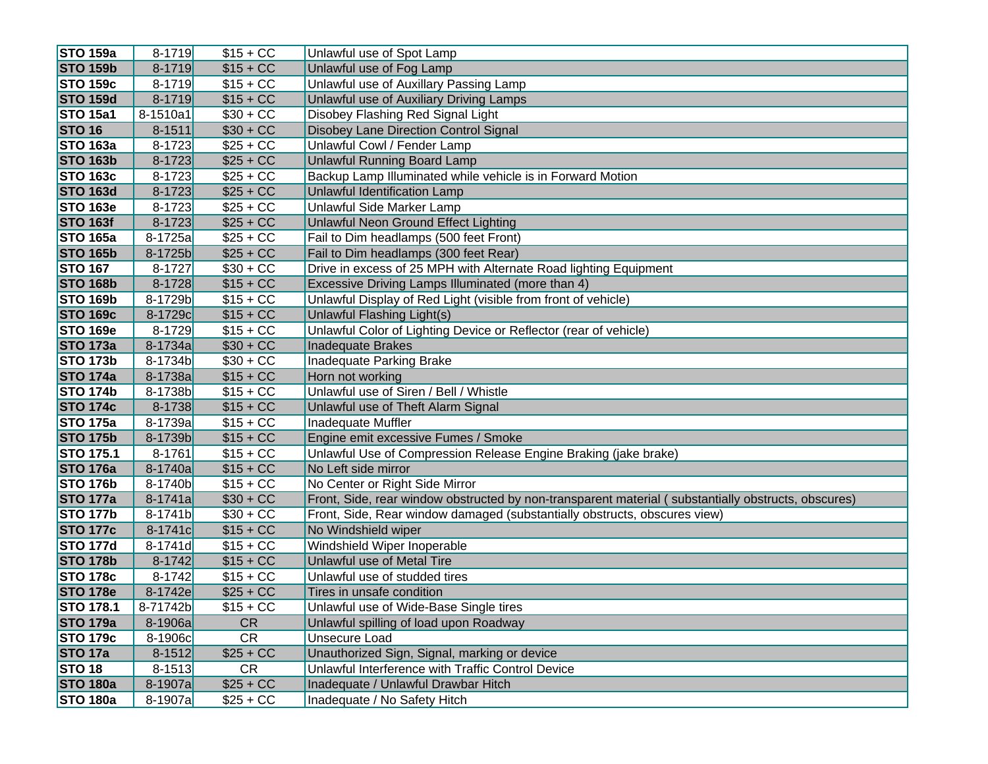| <b>STO 159a</b>  | $8 - 1719$ | $$15 + CC$ | Unlawful use of Spot Lamp                                                                           |
|------------------|------------|------------|-----------------------------------------------------------------------------------------------------|
| <b>STO 159b</b>  | $8 - 1719$ | $$15 + CC$ | Unlawful use of Fog Lamp                                                                            |
| <b>STO 159c</b>  | $8 - 1719$ | $$15 + CC$ | Unlawful use of Auxillary Passing Lamp                                                              |
| <b>STO 159d</b>  | $8 - 1719$ | $$15 + CC$ | Unlawful use of Auxiliary Driving Lamps                                                             |
| <b>STO 15a1</b>  | 8-1510a1   | $$30 + CC$ | Disobey Flashing Red Signal Light                                                                   |
| <b>STO 16</b>    | $8 - 1511$ | $$30 + CC$ | Disobey Lane Direction Control Signal                                                               |
| <b>STO 163a</b>  | $8 - 1723$ | $$25 + CC$ | Unlawful Cowl / Fender Lamp                                                                         |
| <b>STO 163b</b>  | $8 - 1723$ | $$25 + CC$ | Unlawful Running Board Lamp                                                                         |
| <b>STO 163c</b>  | $8 - 1723$ | $$25 + CC$ | Backup Lamp Illuminated while vehicle is in Forward Motion                                          |
| <b>STO 163d</b>  | $8 - 1723$ | $$25 + CC$ | <b>Unlawful Identification Lamp</b>                                                                 |
| <b>STO 163e</b>  | $8 - 1723$ | $$25 + CC$ | Unlawful Side Marker Lamp                                                                           |
| <b>STO 163f</b>  | $8 - 1723$ | $$25 + CC$ | <b>Unlawful Neon Ground Effect Lighting</b>                                                         |
| <b>STO 165a</b>  | 8-1725a    | $$25 + CC$ | Fail to Dim headlamps (500 feet Front)                                                              |
| <b>STO 165b</b>  | 8-1725b    | $$25 + CC$ | Fail to Dim headlamps (300 feet Rear)                                                               |
| <b>STO 167</b>   | $8 - 1727$ | $$30 + CC$ | Drive in excess of 25 MPH with Alternate Road lighting Equipment                                    |
| <b>STO 168b</b>  | $8 - 1728$ | $$15 + CC$ | Excessive Driving Lamps Illuminated (more than 4)                                                   |
| <b>STO 169b</b>  | 8-1729b    | $$15 + CC$ | Unlawful Display of Red Light (visible from front of vehicle)                                       |
| <b>STO 169c</b>  | 8-1729c    | $$15 + CC$ | Unlawful Flashing Light(s)                                                                          |
| <b>STO 169e</b>  | 8-1729     | $$15 + CC$ | Unlawful Color of Lighting Device or Reflector (rear of vehicle)                                    |
| <b>STO 173a</b>  | 8-1734a    | $$30 + CC$ | Inadequate Brakes                                                                                   |
| <b>STO 173b</b>  | 8-1734b    | $$30 + CC$ | <b>Inadequate Parking Brake</b>                                                                     |
| <b>STO 174a</b>  | 8-1738a    | $$15 + CC$ | Horn not working                                                                                    |
| <b>STO 174b</b>  | 8-1738b    | $$15 + CC$ | Unlawful use of Siren / Bell / Whistle                                                              |
| <b>STO 174c</b>  | 8-1738     | $$15 + CC$ | Unlawful use of Theft Alarm Signal                                                                  |
| <b>STO 175a</b>  | 8-1739a    | $$15 + CC$ | Inadequate Muffler                                                                                  |
| <b>STO 175b</b>  | 8-1739b    | $$15 + CC$ | Engine emit excessive Fumes / Smoke                                                                 |
| <b>STO 175.1</b> | 8-1761     | $$15 + CC$ | Unlawful Use of Compression Release Engine Braking (jake brake)                                     |
| <b>STO 176a</b>  | 8-1740a    | $$15 + CC$ | No Left side mirror                                                                                 |
| <b>STO 176b</b>  | 8-1740b    | $$15 + CC$ | No Center or Right Side Mirror                                                                      |
| <b>STO 177a</b>  | $8-1741a$  | $$30 + CC$ | Front, Side, rear window obstructed by non-transparent material (substantially obstructs, obscures) |
| <b>STO 177b</b>  | 8-1741b    | $$30 + CC$ | Front, Side, Rear window damaged (substantially obstructs, obscures view)                           |
| <b>STO 177c</b>  | 8-1741c    | $$15 + CC$ | No Windshield wiper                                                                                 |
| <b>STO 177d</b>  | $8-1741d$  | $$15 + CC$ | Windshield Wiper Inoperable                                                                         |
| <b>STO 178b</b>  | $8 - 1742$ | $$15 + CC$ | Unlawful use of Metal Tire                                                                          |
| <b>STO 178c</b>  | $8 - 1742$ | $$15 + CC$ | Unlawful use of studded tires                                                                       |
| <b>STO 178e</b>  | 8-1742e    | $$25 + CC$ | Tires in unsafe condition                                                                           |
| <b>STO 178.1</b> | 8-71742b   | $$15 + CC$ | Unlawful use of Wide-Base Single tires                                                              |
| <b>STO 179a</b>  | 8-1906a    | <b>CR</b>  | Unlawful spilling of load upon Roadway                                                              |
| <b>STO 179c</b>  | 8-1906c    | <b>CR</b>  | <b>Unsecure Load</b>                                                                                |
| <b>STO 17a</b>   | $8 - 1512$ | $$25 + CC$ | Unauthorized Sign, Signal, marking or device                                                        |
| <b>STO 18</b>    | $8 - 1513$ | <b>CR</b>  | Unlawful Interference with Traffic Control Device                                                   |
| <b>STO 180a</b>  | 8-1907a    | $$25 + CC$ | Inadequate / Unlawful Drawbar Hitch                                                                 |
| <b>STO 180a</b>  | 8-1907a    | $$25 + CC$ | Inadequate / No Safety Hitch                                                                        |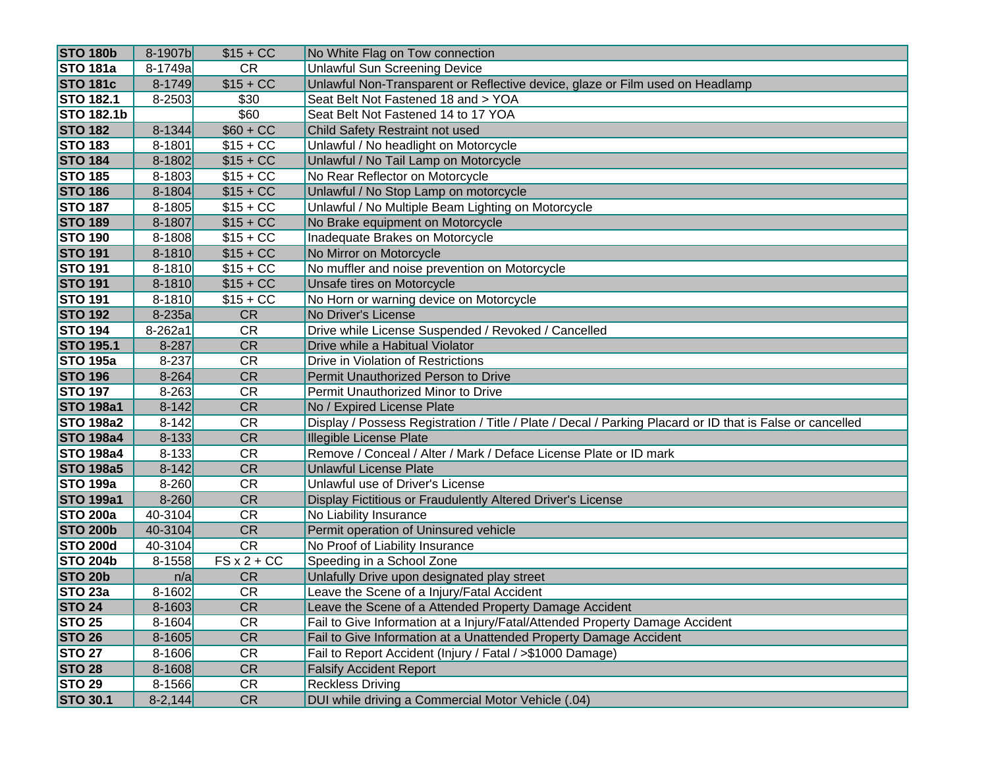| <b>STO 180b</b>   | 8-1907b     | $$15 + CC$ | No White Flag on Tow connection                                                                           |
|-------------------|-------------|------------|-----------------------------------------------------------------------------------------------------------|
| <b>STO 181a</b>   | 8-1749a     | <b>CR</b>  | <b>Unlawful Sun Screening Device</b>                                                                      |
| <b>STO 181c</b>   | $8 - 1749$  | $$15 + CC$ | Unlawful Non-Transparent or Reflective device, glaze or Film used on Headlamp                             |
| <b>STO 182.1</b>  | $8 - 2503$  | \$30       | Seat Belt Not Fastened 18 and > YOA                                                                       |
| <b>STO 182.1b</b> |             | \$60       | Seat Belt Not Fastened 14 to 17 YOA                                                                       |
| <b>STO 182</b>    | $8 - 1344$  | $$60 + CC$ | Child Safety Restraint not used                                                                           |
| <b>STO 183</b>    | 8-1801      | $$15 + CC$ | Unlawful / No headlight on Motorcycle                                                                     |
| <b>STO 184</b>    | $8 - 1802$  | $$15 + CC$ | Unlawful / No Tail Lamp on Motorcycle                                                                     |
| <b>STO 185</b>    | $8 - 1803$  | $$15 + CC$ | No Rear Reflector on Motorcycle                                                                           |
| <b>STO 186</b>    | $8 - 1804$  | $$15 + CC$ | Unlawful / No Stop Lamp on motorcycle                                                                     |
| <b>STO 187</b>    | $8 - 1805$  | $$15 + CC$ | Unlawful / No Multiple Beam Lighting on Motorcycle                                                        |
| <b>STO 189</b>    | 8-1807      | $$15 + CC$ | No Brake equipment on Motorcycle                                                                          |
| <b>STO 190</b>    | $8 - 1808$  | $$15 + CC$ | Inadequate Brakes on Motorcycle                                                                           |
| <b>STO 191</b>    | $8 - 1810$  | $$15 + CC$ | No Mirror on Motorcycle                                                                                   |
| <b>STO 191</b>    | $8 - 1810$  | $$15 + CC$ | No muffler and noise prevention on Motorcycle                                                             |
| <b>STO 191</b>    | 8-1810      | $$15 + CC$ | Unsafe tires on Motorcycle                                                                                |
| <b>STO 191</b>    | $8 - 1810$  | $$15 + CC$ | No Horn or warning device on Motorcycle                                                                   |
| <b>STO 192</b>    | $8-235a$    | <b>CR</b>  | No Driver's License                                                                                       |
| <b>STO 194</b>    | 8-262a1     | <b>CR</b>  | Drive while License Suspended / Revoked / Cancelled                                                       |
| <b>STO 195.1</b>  | 8-287       | <b>CR</b>  | Drive while a Habitual Violator                                                                           |
| <b>STO 195a</b>   | 8-237       | <b>CR</b>  | Drive in Violation of Restrictions                                                                        |
| <b>STO 196</b>    | $8 - 264$   | <b>CR</b>  | Permit Unauthorized Person to Drive                                                                       |
| <b>STO 197</b>    | $8 - 263$   | <b>CR</b>  | Permit Unauthorized Minor to Drive                                                                        |
| <b>STO 198a1</b>  | $8 - 142$   | <b>CR</b>  | No / Expired License Plate                                                                                |
| <b>STO 198a2</b>  | $8 - 142$   | <b>CR</b>  | Display / Possess Registration / Title / Plate / Decal / Parking Placard or ID that is False or cancelled |
| <b>STO 198a4</b>  | $8 - 133$   | <b>CR</b>  | <b>Illegible License Plate</b>                                                                            |
| <b>STO 198a4</b>  | $8 - 133$   | <b>CR</b>  | Remove / Conceal / Alter / Mark / Deface License Plate or ID mark                                         |
| <b>STO 198a5</b>  | $8 - 142$   | <b>CR</b>  | <b>Unlawful License Plate</b>                                                                             |
| <b>STO 199a</b>   | $8 - 260$   | <b>CR</b>  | Unlawful use of Driver's License                                                                          |
| <b>STO 199a1</b>  | $8 - 260$   | <b>CR</b>  | Display Fictitious or Fraudulently Altered Driver's License                                               |
| <b>STO 200a</b>   | 40-3104     | <b>CR</b>  | No Liability Insurance                                                                                    |
| <b>STO 200b</b>   | 40-3104     | <b>CR</b>  | Permit operation of Uninsured vehicle                                                                     |
| <b>STO 200d</b>   | 40-3104     | <b>CR</b>  | No Proof of Liability Insurance                                                                           |
| <b>STO 204b</b>   | 8-1558      | $FSx2+CC$  | Speeding in a School Zone                                                                                 |
| <b>STO 20b</b>    | n/a         | <b>CR</b>  | Unlafully Drive upon designated play street                                                               |
| STO 23a           | $8 - 1602$  | <b>CR</b>  | Leave the Scene of a Injury/Fatal Accident                                                                |
| <b>STO 24</b>     | $8 - 1603$  | CR         | Leave the Scene of a Attended Property Damage Accident                                                    |
| <b>STO 25</b>     | $8 - 1604$  | <b>CR</b>  | Fail to Give Information at a Injury/Fatal/Attended Property Damage Accident                              |
| <b>STO 26</b>     | $8 - 1605$  | CR         | Fail to Give Information at a Unattended Property Damage Accident                                         |
| <b>STO 27</b>     | $8 - 1606$  | CR         | Fail to Report Accident (Injury / Fatal / >\$1000 Damage)                                                 |
| <b>STO 28</b>     | $8 - 1608$  | CR         | <b>Falsify Accident Report</b>                                                                            |
| <b>STO 29</b>     | $8 - 1566$  | <b>CR</b>  | <b>Reckless Driving</b>                                                                                   |
| <b>STO 30.1</b>   | $8 - 2,144$ | CR         | DUI while driving a Commercial Motor Vehicle (.04)                                                        |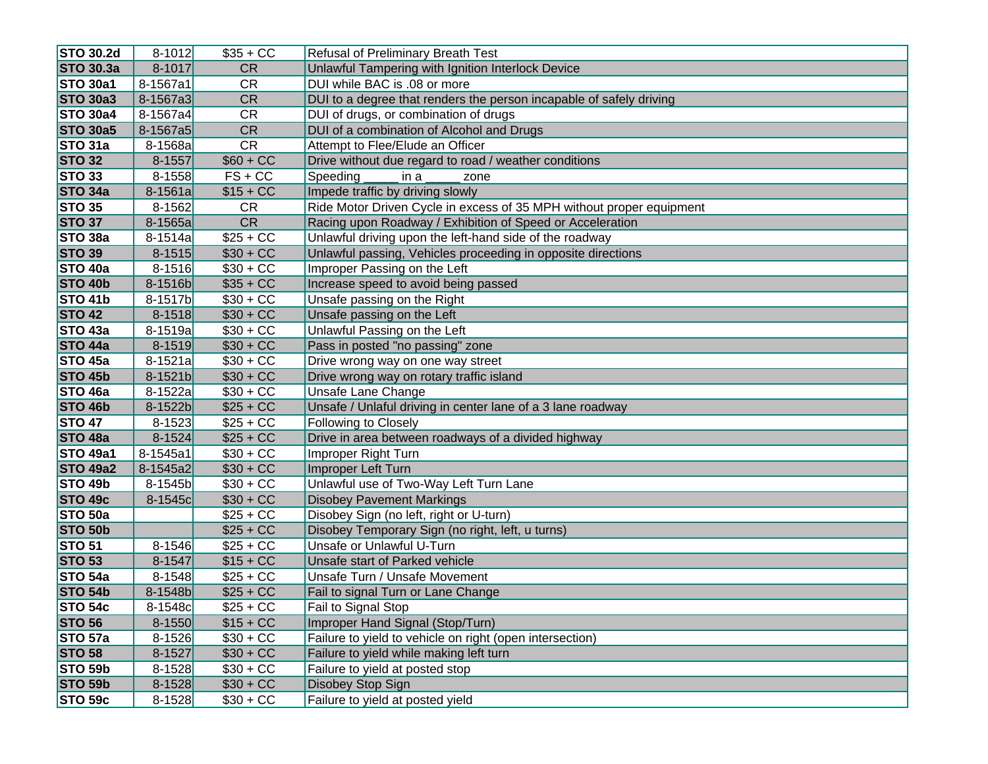| <b>STO 30.2d</b>  | $8 - 1012$  | $$35 + CC$ | <b>Refusal of Preliminary Breath Test</b>                            |
|-------------------|-------------|------------|----------------------------------------------------------------------|
| <b>STO 30.3a</b>  | 8-1017      | <b>CR</b>  | Unlawful Tampering with Ignition Interlock Device                    |
| <b>STO 30a1</b>   | 8-1567a1    | <b>CR</b>  | DUI while BAC is .08 or more                                         |
| <b>STO 30a3</b>   | 8-1567a3    | <b>CR</b>  | DUI to a degree that renders the person incapable of safely driving  |
| <b>STO 30a4</b>   | 8-1567a4    | <b>CR</b>  | DUI of drugs, or combination of drugs                                |
| <b>STO 30a5</b>   | 8-1567a5    | <b>CR</b>  | DUI of a combination of Alcohol and Drugs                            |
| STO 31a           | 8-1568a     | <b>CR</b>  | Attempt to Flee/Elude an Officer                                     |
| <b>STO 32</b>     | 8-1557      | $$60 + CC$ | Drive without due regard to road / weather conditions                |
| STO <sub>33</sub> | 8-1558      | $FS + CC$  | Speeding<br>in a<br>zone                                             |
| STO 34a           | 8-1561a     | $$15 + CC$ | Impede traffic by driving slowly                                     |
| <b>STO 35</b>     | 8-1562      | <b>CR</b>  | Ride Motor Driven Cycle in excess of 35 MPH without proper equipment |
| <b>STO 37</b>     | 8-1565a     | <b>CR</b>  | Racing upon Roadway / Exhibition of Speed or Acceleration            |
| STO 38a           | $8 - 1514a$ | $$25 + CC$ | Unlawful driving upon the left-hand side of the roadway              |
| <b>STO 39</b>     | $8 - 1515$  | $$30 + CC$ | Unlawful passing, Vehicles proceeding in opposite directions         |
| STO 40a           | $8 - 1516$  | $$30 + CC$ | Improper Passing on the Left                                         |
| STO 40b           | 8-1516b     | $$35 + CC$ | Increase speed to avoid being passed                                 |
| STO 41b           | 8-1517b     | $$30 + CC$ | Unsafe passing on the Right                                          |
| <b>STO 42</b>     | $8 - 1518$  | $$30 + CC$ | Unsafe passing on the Left                                           |
| STO 43a           | 8-1519a     | $$30 + CC$ | Unlawful Passing on the Left                                         |
| STO 44a           | $8 - 1519$  | $$30 + CC$ | Pass in posted "no passing" zone                                     |
| $STO$ 45a         | $8 - 1521a$ | $$30 + CC$ | Drive wrong way on one way street                                    |
| STO 45b           | 8-1521b     | $$30 + CC$ | Drive wrong way on rotary traffic island                             |
| STO 46a           | 8-1522a     | $$30 + CC$ | Unsafe Lane Change                                                   |
| STO 46b           | 8-1522b     | $$25 + CC$ | Unsafe / Unlaful driving in center lane of a 3 lane roadway          |
| <b>STO 47</b>     | 8-1523      | $$25 + CC$ | <b>Following to Closely</b>                                          |
| STO 48a           | $8 - 1524$  | $$25 + CC$ | Drive in area between roadways of a divided highway                  |
| <b>STO 49a1</b>   | 8-1545a1    | $$30 + CC$ | Improper Right Turn                                                  |
| <b>STO 49a2</b>   | 8-1545a2    | $$30 + CC$ | Improper Left Turn                                                   |
| STO 49b           | 8-1545b     | $$30 + CC$ | Unlawful use of Two-Way Left Turn Lane                               |
| STO 49c           | 8-1545c     | $$30 + CC$ | <b>Disobey Pavement Markings</b>                                     |
| STO 50a           |             | $$25 + CC$ | Disobey Sign (no left, right or U-turn)                              |
| STO 50b           |             | $$25 + CC$ | Disobey Temporary Sign (no right, left, u turns)                     |
| <b>STO 51</b>     | $8 - 1546$  | $$25 + CC$ | Unsafe or Unlawful U-Turn                                            |
| <b>STO 53</b>     | 8-1547      | $$15 + CC$ | Unsafe start of Parked vehicle                                       |
| STO 54a           | $8 - 1548$  | $$25 + CC$ | <b>Unsafe Turn / Unsafe Movement</b>                                 |
| STO 54b           | 8-1548b     | $$25 + CC$ | Fail to signal Turn or Lane Change                                   |
| <b>STO 54c</b>    | 8-1548c     | $$25 + CC$ | Fail to Signal Stop                                                  |
| <b>STO 56</b>     | 8-1550      | $$15 + CC$ | Improper Hand Signal (Stop/Turn)                                     |
| STO 57a           | $8 - 1526$  | $$30 + CC$ | Failure to yield to vehicle on right (open intersection)             |
| <b>STO 58</b>     | 8-1527      | $$30 + CC$ | Failure to yield while making left turn                              |
| STO 59b           | $8 - 1528$  | $$30 + CC$ | Failure to yield at posted stop                                      |
| STO 59b           | $8 - 1528$  | $$30 + CC$ | Disobey Stop Sign                                                    |
| STO 59c           | $8 - 1528$  | $$30 + CC$ | Failure to yield at posted yield                                     |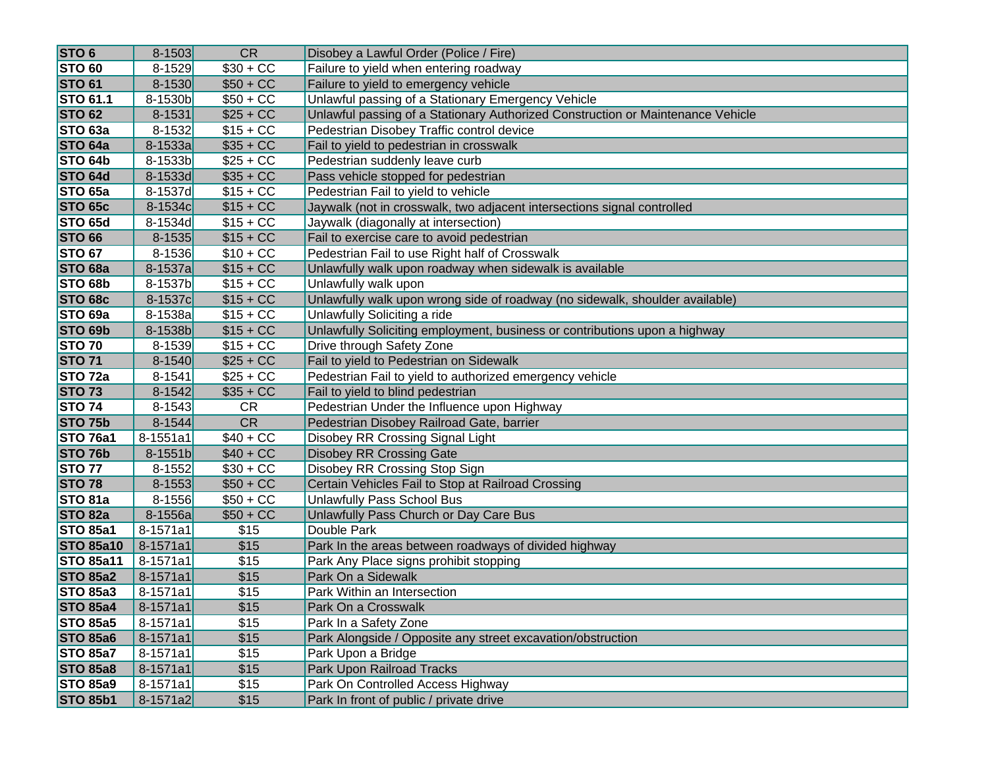| <b>STO 6</b>       | $8 - 1503$   | <b>CR</b>  | Disobey a Lawful Order (Police / Fire)                                          |
|--------------------|--------------|------------|---------------------------------------------------------------------------------|
| <b>STO 60</b>      | $8 - 1529$   | $$30 + CC$ | Failure to yield when entering roadway                                          |
| <b>STO 61</b>      | $8 - 1530$   | $$50 + CC$ | Failure to yield to emergency vehicle                                           |
| <b>STO 61.1</b>    | 8-1530b      | $$50 + CC$ | Unlawful passing of a Stationary Emergency Vehicle                              |
| <b>STO 62</b>      | $8 - 1531$   | $$25 + CC$ | Unlawful passing of a Stationary Authorized Construction or Maintenance Vehicle |
| STO <sub>63a</sub> | 8-1532       | $$15 + CC$ | Pedestrian Disobey Traffic control device                                       |
| STO 64a            | 8-1533a      | $$35 + CC$ | Fail to yield to pedestrian in crosswalk                                        |
| STO 64b            | 8-1533b      | $$25 + CC$ | Pedestrian suddenly leave curb                                                  |
| STO 64d            | 8-1533d      | $$35 + CC$ | Pass vehicle stopped for pedestrian                                             |
| STO <sub>65a</sub> | 8-1537d      | $$15 + CC$ | Pedestrian Fail to yield to vehicle                                             |
| STO 65c            | 8-1534c      | $$15 + CC$ | Jaywalk (not in crosswalk, two adjacent intersections signal controlled         |
| STO 65d            | 8-1534d      | $$15 + CC$ | Jaywalk (diagonally at intersection)                                            |
| <b>STO 66</b>      | $8 - 1535$   | $$15 + CC$ | Fail to exercise care to avoid pedestrian                                       |
| <b>STO 67</b>      | $8 - 1536$   | $$10 + CC$ | Pedestrian Fail to use Right half of Crosswalk                                  |
| STO 68a            | 8-1537a      | $$15 + CC$ | Unlawfully walk upon roadway when sidewalk is available                         |
| STO <sub>68b</sub> | 8-1537b      | $$15 + CC$ | Unlawfully walk upon                                                            |
| <b>STO 68c</b>     | 8-1537c      | $$15 + CC$ | Unlawfully walk upon wrong side of roadway (no sidewalk, shoulder available)    |
| STO <sub>69a</sub> | 8-1538a      | $$15 + CC$ | Unlawfully Soliciting a ride                                                    |
| STO 69b            | 8-1538b      | $$15 + CC$ | Unlawfully Soliciting employment, business or contributions upon a highway      |
| <b>STO 70</b>      | 8-1539       | $$15 + CC$ | Drive through Safety Zone                                                       |
| <b>STO 71</b>      | $8 - 1540$   | $$25 + CC$ | Fail to yield to Pedestrian on Sidewalk                                         |
| STO <sub>72a</sub> | 8-1541       | $$25 + CC$ | Pedestrian Fail to yield to authorized emergency vehicle                        |
| <b>STO 73</b>      | $8 - 1542$   | $$35 + CC$ | Fail to yield to blind pedestrian                                               |
| <b>STO 74</b>      | $8 - 1543$   | <b>CR</b>  | Pedestrian Under the Influence upon Highway                                     |
| STO 75b            | $8 - 1544$   | <b>CR</b>  | Pedestrian Disobey Railroad Gate, barrier                                       |
| <b>STO 76a1</b>    | 8-1551a1     | $$40 + CC$ | Disobey RR Crossing Signal Light                                                |
| STO 76b            | 8-1551b      | $$40 + CC$ | <b>Disobey RR Crossing Gate</b>                                                 |
| <b>STO 77</b>      | $8 - 1552$   | $$30 + CC$ | Disobey RR Crossing Stop Sign                                                   |
| <b>STO 78</b>      | $8 - 1553$   | $$50 + CC$ | Certain Vehicles Fail to Stop at Railroad Crossing                              |
| STO <sub>81a</sub> | $8 - 1556$   | $$50 + CC$ | Unlawfully Pass School Bus                                                      |
| STO 82a            | 8-1556a      | $$50 + CC$ | Unlawfully Pass Church or Day Care Bus                                          |
| <b>STO 85a1</b>    | 8-1571a1     | \$15       | Double Park                                                                     |
| <b>STO 85a10</b>   | 8-1571a1     | \$15       | Park In the areas between roadways of divided highway                           |
| <b>STO 85a11</b>   | 8-1571a1     | \$15       | Park Any Place signs prohibit stopping                                          |
| <b>STO 85a2</b>    | 8-1571a1     | \$15       | Park On a Sidewalk                                                              |
| <b>STO 85a3</b>    | 8-1571a1     | \$15       | Park Within an Intersection                                                     |
| <b>STO 85a4</b>    | 8-1571a1     | \$15       | Park On a Crosswalk                                                             |
| <b>STO 85a5</b>    | 8-1571a1     | \$15       | Park In a Safety Zone                                                           |
| <b>STO 85a6</b>    | $8 - 1571a1$ | \$15       | Park Alongside / Opposite any street excavation/obstruction                     |
| <b>STO 85a7</b>    | 8-1571a1     | \$15       | Park Upon a Bridge                                                              |
| <b>STO 85a8</b>    | $8 - 1571a1$ | \$15       | <b>Park Upon Railroad Tracks</b>                                                |
| <b>STO 85a9</b>    | 8-1571a1     | \$15       | Park On Controlled Access Highway                                               |
| <b>STO 85b1</b>    | 8-1571a2     | \$15       | Park In front of public / private drive                                         |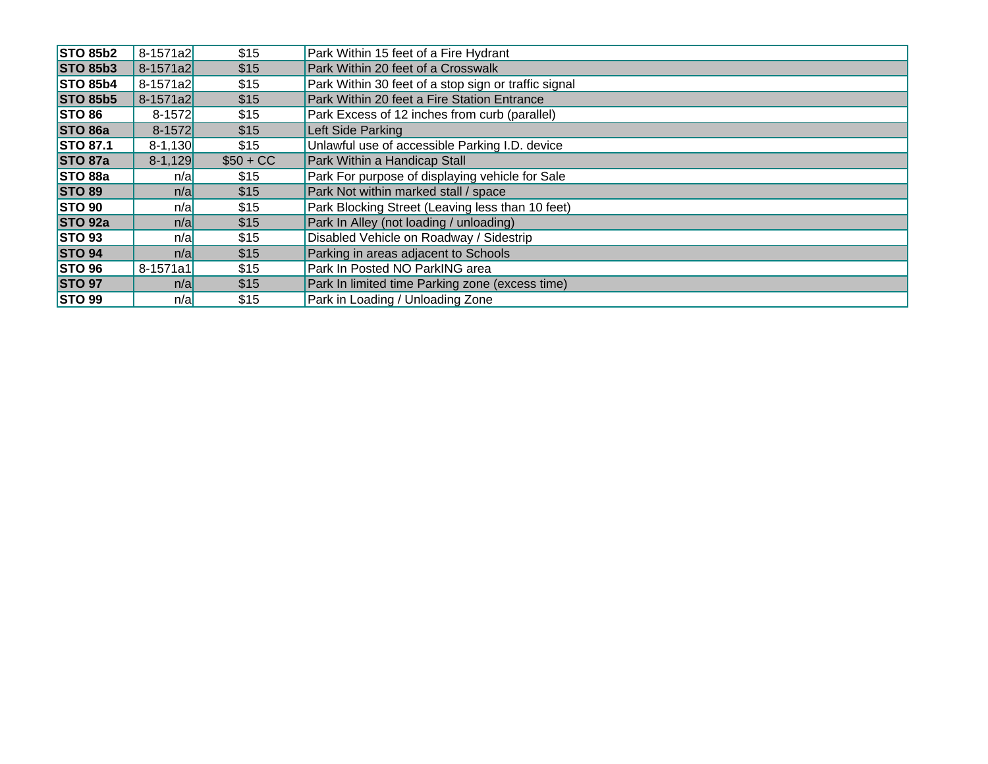| <b>STO 85b2</b> | 8-1571a2     | \$15       | Park Within 15 feet of a Fire Hydrant                |
|-----------------|--------------|------------|------------------------------------------------------|
| <b>STO 85b3</b> | 8-1571a2     | \$15       | Park Within 20 feet of a Crosswalk                   |
| <b>STO 85b4</b> | 8-1571a2     | \$15       | Park Within 30 feet of a stop sign or traffic signal |
| <b>STO 85b5</b> | 8-1571a2     | \$15       | Park Within 20 feet a Fire Station Entrance          |
| <b>STO 86</b>   | $8 - 1572$   | \$15       | Park Excess of 12 inches from curb (parallel)        |
| STO 86a         | $8 - 1572$   | \$15       | Left Side Parking                                    |
| <b>STO 87.1</b> | $8 - 1,130$  | \$15       | Unlawful use of accessible Parking I.D. device       |
| STO 87a         | $8 - 1,129$  | $$50 + CC$ | Park Within a Handicap Stall                         |
| STO 88a         | n/a          | \$15       | Park For purpose of displaying vehicle for Sale      |
| <b>STO 89</b>   | n/a          | \$15       | Park Not within marked stall / space                 |
| <b>STO 90</b>   | n/a          | \$15       | Park Blocking Street (Leaving less than 10 feet)     |
| <b>STO 92a</b>  | n/a          | \$15       | Park In Alley (not loading / unloading)              |
| <b>STO 93</b>   | n/a          | \$15       | Disabled Vehicle on Roadway / Sidestrip              |
| <b>STO 94</b>   | n/a          | \$15       | Parking in areas adjacent to Schools                 |
| <b>STO 96</b>   | $8 - 1571a1$ | \$15       | Park In Posted NO ParkING area                       |
| <b>STO 97</b>   | n/a          | \$15       | Park In limited time Parking zone (excess time)      |
| <b>STO 99</b>   | n/a          | \$15       | Park in Loading / Unloading Zone                     |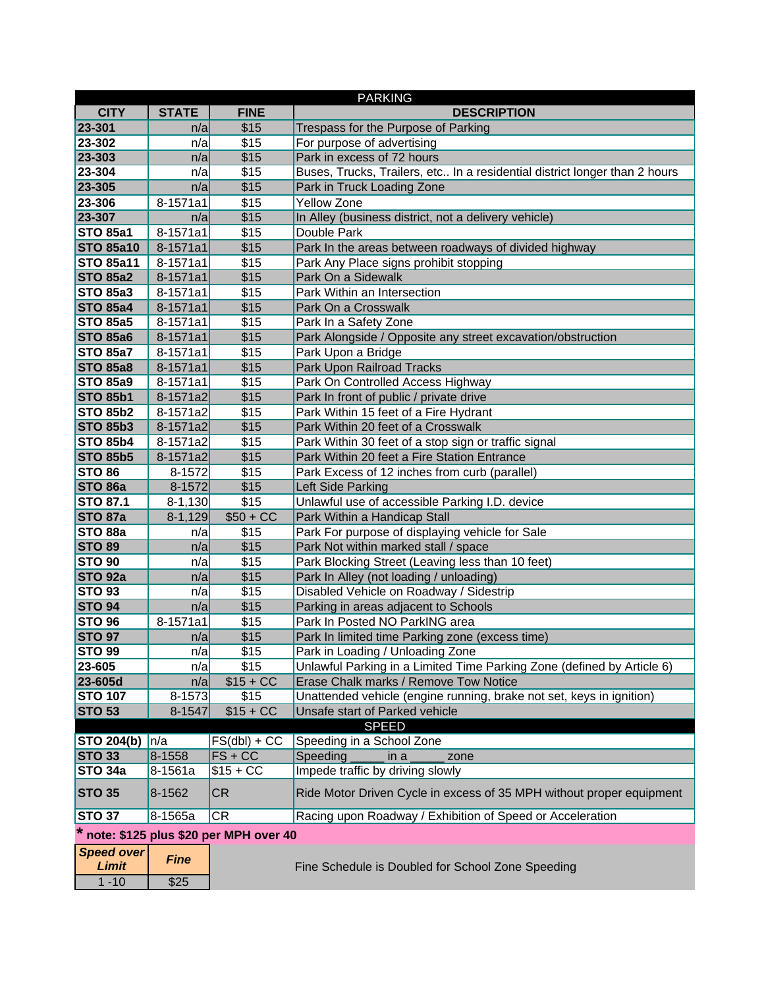|                                   |              |                                       | <b>PARKING</b>                                                             |
|-----------------------------------|--------------|---------------------------------------|----------------------------------------------------------------------------|
| <b>CITY</b>                       | <b>STATE</b> | <b>FINE</b>                           | <b>DESCRIPTION</b>                                                         |
| 23-301                            | n/a          | \$15                                  | Trespass for the Purpose of Parking                                        |
| 23-302                            | n/a          | \$15                                  | For purpose of advertising                                                 |
| 23-303                            | n/a          | \$15                                  | Park in excess of 72 hours                                                 |
| 23-304                            | n/a          | \$15                                  | Buses, Trucks, Trailers, etc In a residential district longer than 2 hours |
| 23-305                            | n/a          | \$15                                  | Park in Truck Loading Zone                                                 |
| 23-306                            | 8-1571a1     | \$15                                  | <b>Yellow Zone</b>                                                         |
| 23-307                            | n/a          | \$15                                  | In Alley (business district, not a delivery vehicle)                       |
| <b>STO 85a1</b>                   | 8-1571a1     | \$15                                  | Double Park                                                                |
| <b>STO 85a10</b>                  | 8-1571a1     | \$15                                  | Park In the areas between roadways of divided highway                      |
| <b>STO 85a11</b>                  | 8-1571a1     | \$15                                  | Park Any Place signs prohibit stopping                                     |
| <b>STO 85a2</b>                   | 8-1571a1     | \$15                                  | Park On a Sidewalk                                                         |
| <b>STO 85a3</b>                   | 8-1571a1     | \$15                                  | Park Within an Intersection                                                |
| <b>STO 85a4</b>                   | 8-1571a1     | \$15                                  | Park On a Crosswalk                                                        |
| <b>STO 85a5</b>                   | 8-1571a1     | \$15                                  | Park In a Safety Zone                                                      |
| <b>STO 85a6</b>                   | 8-1571a1     | \$15                                  | Park Alongside / Opposite any street excavation/obstruction                |
| <b>STO 85a7</b>                   | 8-1571a1     | \$15                                  | Park Upon a Bridge                                                         |
| <b>STO 85a8</b>                   | 8-1571a1     | \$15                                  | Park Upon Railroad Tracks                                                  |
| <b>STO 85a9</b>                   | 8-1571a1     | \$15                                  | Park On Controlled Access Highway                                          |
| <b>STO 85b1</b>                   | 8-1571a2     | \$15                                  | Park In front of public / private drive                                    |
| <b>STO 85b2</b>                   | 8-1571a2     | \$15                                  | Park Within 15 feet of a Fire Hydrant                                      |
| <b>STO 85b3</b>                   | 8-1571a2     | \$15                                  | Park Within 20 feet of a Crosswalk                                         |
| <b>STO 85b4</b>                   | 8-1571a2     | \$15                                  | Park Within 30 feet of a stop sign or traffic signal                       |
| <b>STO 85b5</b>                   | 8-1571a2     | \$15                                  | Park Within 20 feet a Fire Station Entrance                                |
| <b>STO 86</b>                     | $8 - 1572$   | \$15                                  | Park Excess of 12 inches from curb (parallel)                              |
| STO <sub>86a</sub>                | $8 - 1572$   | \$15                                  | Left Side Parking                                                          |
| <b>STO 87.1</b>                   | $8 - 1,130$  | \$15                                  | Unlawful use of accessible Parking I.D. device                             |
| <b>STO 87a</b>                    | $8-1,129$    | $$50 + CC$                            | Park Within a Handicap Stall                                               |
| STO 88a                           | n/a          | \$15                                  | Park For purpose of displaying vehicle for Sale                            |
| <b>STO 89</b>                     | n/a          | \$15                                  | Park Not within marked stall / space                                       |
| <b>STO 90</b>                     | n/a          | \$15                                  | Park Blocking Street (Leaving less than 10 feet)                           |
| STO <sub>92a</sub>                | n/a          | \$15                                  | Park In Alley (not loading / unloading)                                    |
| <b>STO 93</b>                     | n/a          | \$15                                  | Disabled Vehicle on Roadway / Sidestrip                                    |
| <b>STO 94</b>                     | n/a          | \$15                                  | Parking in areas adjacent to Schools                                       |
| <b>STO 96</b>                     | 8-1571a1     | \$15                                  | Park In Posted NO ParkING area                                             |
| <b>STO 97</b>                     | n/a          | \$15                                  | Park In limited time Parking zone (excess time)                            |
| <b>STO 99</b>                     | n/a          | \$15                                  | Park in Loading / Unloading Zone                                           |
| 23-605                            | n/a          | \$15                                  | Unlawful Parking in a Limited Time Parking Zone (defined by Article 6)     |
| 23-605d                           | n/a          | $$15 + CC$                            | Erase Chalk marks / Remove Tow Notice                                      |
| <b>STO 107</b>                    | $8 - 1573$   | \$15                                  | Unattended vehicle (engine running, brake not set, keys in ignition)       |
| <b>STO 53</b>                     | 8-1547       | $$15 + CC$                            | Unsafe start of Parked vehicle                                             |
|                                   |              |                                       | <b>SPEED</b>                                                               |
| <b>STO 204(b)</b>                 | n/a          | $FS(dbl) + CC$                        | Speeding in a School Zone                                                  |
| <b>STO 33</b>                     | 8-1558       | $FS + CC$                             | Speeding $\_$<br>in a<br>zone                                              |
| STO <sub>34a</sub>                | 8-1561a      | $$15 + CC$                            | Impede traffic by driving slowly                                           |
| <b>STO 35</b>                     | 8-1562       | CR                                    | Ride Motor Driven Cycle in excess of 35 MPH without proper equipment       |
| <b>STO 37</b>                     | 8-1565a      | CR                                    | Racing upon Roadway / Exhibition of Speed or Acceleration                  |
|                                   |              | note: \$125 plus \$20 per MPH over 40 |                                                                            |
| <b>Speed over</b><br><b>Limit</b> | <b>Fine</b>  |                                       | Fine Schedule is Doubled for School Zone Speeding                          |
| $1 - 10$                          | \$25         |                                       |                                                                            |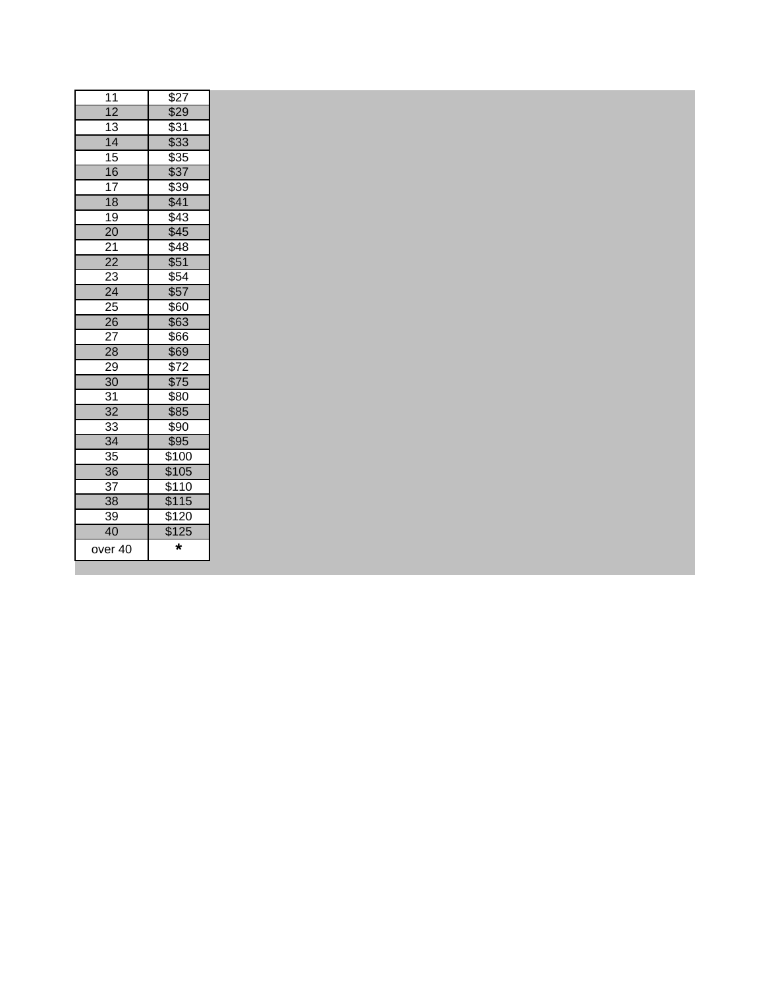| over 40         | $\star$          |  |
|-----------------|------------------|--|
| 40              | \$125            |  |
| 39              | \$120            |  |
| 38              | \$115            |  |
| 37              | \$110            |  |
| $\overline{36}$ | \$105            |  |
| 35              | \$100            |  |
| $\overline{34}$ | \$95             |  |
| 33              | \$90             |  |
| 32              | \$85             |  |
| 31              | \$80             |  |
| 30              | \$75             |  |
| 29              | \$72             |  |
| 28              | \$69             |  |
| 27              | \$66             |  |
| 26              | \$63             |  |
| 25              | $\overline{$}60$ |  |
| $\overline{24}$ | \$57             |  |
| 23              | \$54             |  |
| $\overline{22}$ | \$51             |  |
| 21              | \$48             |  |
| $\overline{20}$ | \$45             |  |
| 19              | $\sqrt{43}$      |  |
| 18              | \$39<br>\$41     |  |
| 16<br>17        | \$37             |  |
| 15              | \$35             |  |
| $\overline{14}$ | \$33             |  |
| 13              | \$31             |  |
| $\overline{12}$ | \$29             |  |
| 11              | \$27             |  |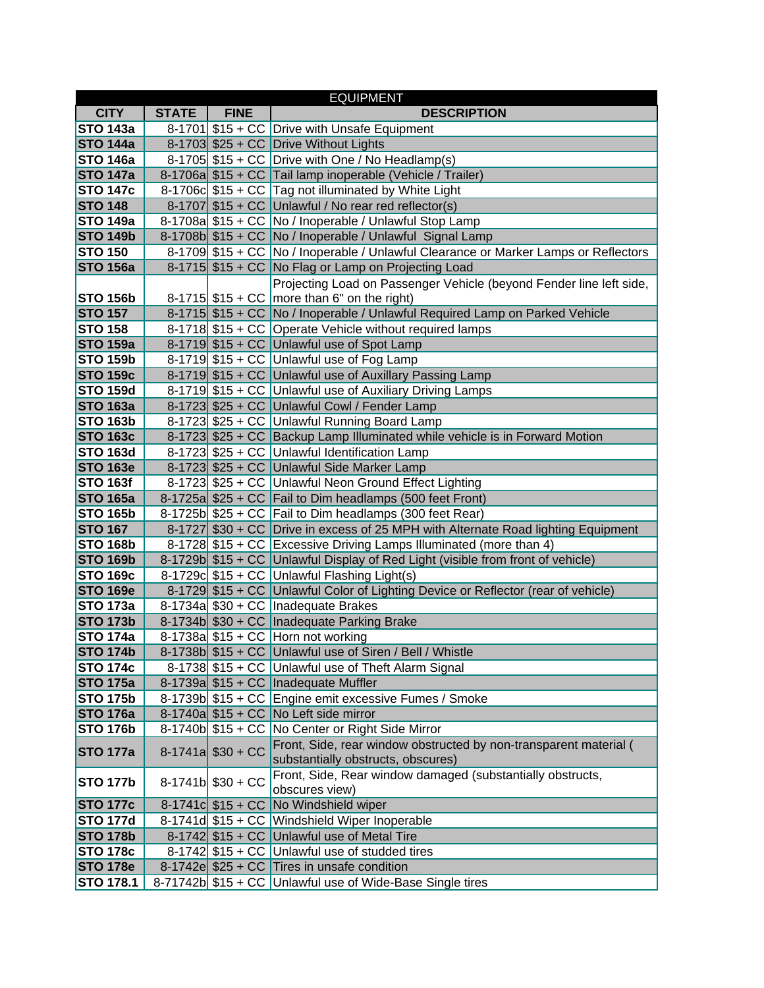|                                    |              |                     | <b>EQUIPMENT</b>                                                                                    |
|------------------------------------|--------------|---------------------|-----------------------------------------------------------------------------------------------------|
| <b>CITY</b>                        | <b>STATE</b> | <b>FINE</b>         | <b>DESCRIPTION</b>                                                                                  |
| <b>STO 143a</b>                    |              |                     | 8-1701 \$15 + CC Drive with Unsafe Equipment                                                        |
| <b>STO 144a</b>                    |              |                     | 8-1703 \$25 + CC Drive Without Lights                                                               |
| <b>STO 146a</b>                    |              |                     | 8-1705 $$15 + CC$ Drive with One / No Headlamp(s)                                                   |
| <b>STO 147a</b>                    |              |                     | 8-1706a \$15 + CC Tail lamp inoperable (Vehicle / Trailer)                                          |
| <b>STO 147c</b>                    |              |                     | 8-1706c \$15 + CC Tag not illuminated by White Light                                                |
| <b>STO 148</b>                     |              |                     | 8-1707 $$15 + CC$ Unlawful / No rear red reflector(s)                                               |
| <b>STO 149a</b>                    |              |                     | 8-1708a \$15 + CC No / Inoperable / Unlawful Stop Lamp                                              |
| <b>STO 149b</b>                    |              |                     | 8-1708b \$15 + CC   No / Inoperable / Unlawful Signal Lamp                                          |
| <b>STO 150</b>                     |              |                     | 8-1709 \$15 + CC   No / Inoperable / Unlawful Clearance or Marker Lamps or Reflectors               |
| <b>STO 156a</b>                    |              |                     | 8-1715 \$15 + CC No Flag or Lamp on Projecting Load                                                 |
|                                    |              |                     | Projecting Load on Passenger Vehicle (beyond Fender line left side,                                 |
| <b>STO 156b</b>                    |              |                     | 8-1715 $$15 + CC$ more than 6" on the right)                                                        |
| <b>STO 157</b>                     |              |                     | 8-1715 \$15 + CC No / Inoperable / Unlawful Required Lamp on Parked Vehicle                         |
| <b>STO 158</b>                     |              |                     | 8-1718 \$15 + CC Operate Vehicle without required lamps                                             |
| <b>STO 159a</b>                    |              |                     | 8-1719 \$15 + CC Unlawful use of Spot Lamp                                                          |
| <b>STO 159b</b>                    |              |                     | 8-1719 $$15 + CC$ Unlawful use of Fog Lamp                                                          |
| <b>STO 159c</b>                    |              |                     | 8-1719 \$15 + CC Unlawful use of Auxillary Passing Lamp                                             |
| <b>STO 159d</b>                    |              |                     | 8-1719 \$15 + CC Unlawful use of Auxiliary Driving Lamps                                            |
| <b>STO 163a</b>                    |              |                     | 8-1723 \$25 + CC Unlawful Cowl / Fender Lamp                                                        |
| <b>STO 163b</b>                    |              |                     | 8-1723 \$25 + CC Unlawful Running Board Lamp                                                        |
| <b>STO 163c</b>                    |              |                     | 8-1723 \$25 + CC Backup Lamp Illuminated while vehicle is in Forward Motion                         |
| <b>STO 163d</b><br><b>STO 163e</b> |              |                     | 8-1723 \$25 + CC Unlawful Identification Lamp                                                       |
| <b>STO 163f</b>                    |              |                     | 8-1723 \$25 + CC Unlawful Side Marker Lamp<br>8-1723 \$25 + CC Unlawful Neon Ground Effect Lighting |
| <b>STO 165a</b>                    |              |                     | 8-1725a $$25 + CC$ Fail to Dim headlamps (500 feet Front)                                           |
| <b>STO 165b</b>                    |              |                     | 8-1725b \$25 + CC   Fail to Dim headlamps (300 feet Rear)                                           |
| <b>STO 167</b>                     |              |                     | 8-1727 \$30 + CC Drive in excess of 25 MPH with Alternate Road lighting Equipment                   |
| <b>STO 168b</b>                    |              |                     | 8-1728 \$15 + CC Excessive Driving Lamps Illuminated (more than 4)                                  |
| <b>STO 169b</b>                    |              |                     | 8-1729b \$15 + CC Unlawful Display of Red Light (visible from front of vehicle)                     |
| <b>STO 169c</b>                    |              |                     | 8-1729c \$15 + CC Unlawful Flashing Light(s)                                                        |
| <b>STO 169e</b>                    |              |                     | 8-1729 \$15 + CC Unlawful Color of Lighting Device or Reflector (rear of vehicle)                   |
| <b>STO 173a</b>                    |              |                     | 8-1734a $$30 + CC$ Inadequate Brakes                                                                |
| <b>STO 173b</b>                    |              |                     | 8-1734b \$30 + CC Inadequate Parking Brake                                                          |
| <b>STO 174a</b>                    |              |                     | 8-1738a $$15 + CC$ Horn not working                                                                 |
| <b>STO 174b</b>                    |              |                     | 8-1738b \$15 + CC Unlawful use of Siren / Bell / Whistle                                            |
| <b>STO 174c</b>                    |              |                     | 8-1738 \$15 + CC Unlawful use of Theft Alarm Signal                                                 |
| <b>STO 175a</b>                    |              |                     | 8-1739a $$15 + CC$ Inadequate Muffler                                                               |
| <b>STO 175b</b>                    |              |                     | 8-1739b \$15 + CC Engine emit excessive Fumes / Smoke                                               |
| <b>STO 176a</b>                    |              |                     | 8-1740a $$15 + CC$ No Left side mirror                                                              |
| <b>STO 176b</b>                    |              |                     | 8-1740b \$15 + CC No Center or Right Side Mirror                                                    |
| <b>STO 177a</b>                    |              | $8-1741a$ \$30 + CC | Front, Side, rear window obstructed by non-transparent material (                                   |
|                                    |              |                     | substantially obstructs, obscures)                                                                  |
| <b>STO 177b</b>                    |              | $8-1741b$ \$30 + CC | Front, Side, Rear window damaged (substantially obstructs,                                          |
|                                    |              |                     | obscures view)                                                                                      |
| <b>STO 177c</b>                    |              |                     | 8-1741c \$15 + CC No Windshield wiper                                                               |
| <b>STO 177d</b>                    |              |                     | 8-1741d \$15 + CC Windshield Wiper Inoperable                                                       |
| <b>STO 178b</b>                    |              |                     | 8-1742 \$15 + CC Unlawful use of Metal Tire                                                         |
| <b>STO 178c</b>                    |              |                     | 8-1742 \$15 + CC Unlawful use of studded tires                                                      |
| <b>STO 178e</b>                    |              |                     | 8-1742e \$25 + CC Tires in unsafe condition                                                         |
| <b>STO 178.1</b>                   |              |                     | 8-71742b \$15 + CC Unlawful use of Wide-Base Single tires                                           |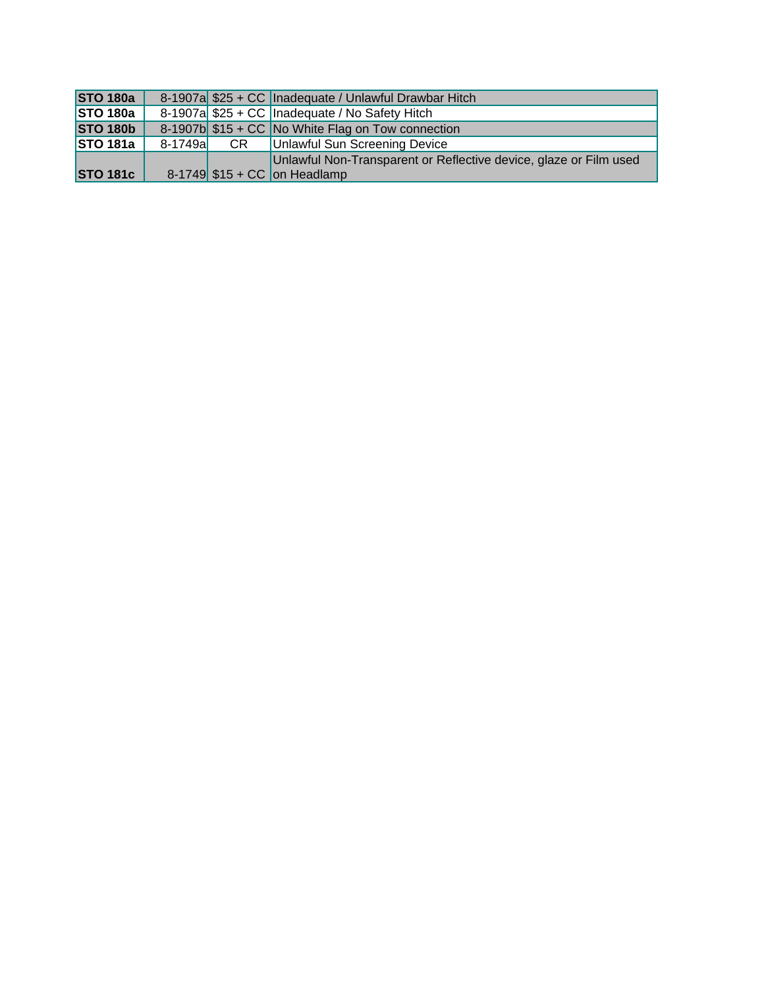| <b>STO 180a</b> |          | 8-1907a \$25 + CC   Inadequate / Unlawful Drawbar Hitch           |
|-----------------|----------|-------------------------------------------------------------------|
| <b>STO 180a</b> |          | 8-1907a \$25 + CC   Inadequate / No Safety Hitch                  |
| <b>STO 180b</b> |          | 8-1907b \$15 + CC No White Flag on Tow connection                 |
| <b>STO 181a</b> | 8-1749al | <b>CR</b>   Unlawful Sun Screening Device                         |
|                 |          | Unlawful Non-Transparent or Reflective device, glaze or Film used |
| <b>STO 181c</b> |          | $8-1749$ \$15 + CC on Headlamp                                    |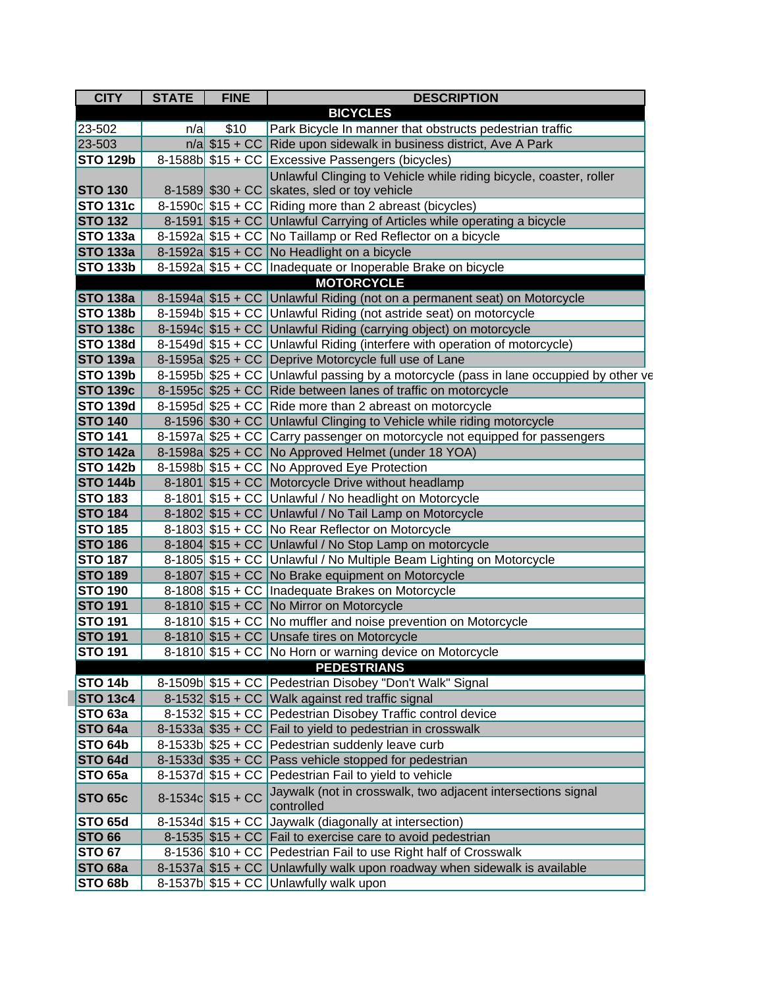| <b>CITY</b>        | <b>STATE</b> | <b>FINE</b>         | <b>DESCRIPTION</b>                                                                      |
|--------------------|--------------|---------------------|-----------------------------------------------------------------------------------------|
|                    |              |                     | <b>BICYCLES</b>                                                                         |
| 23-502             | n/a          | \$10                | Park Bicycle In manner that obstructs pedestrian traffic                                |
| 23-503             |              |                     | $n/a$ \$15 + CC Ride upon sidewalk in business district, Ave A Park                     |
| <b>STO 129b</b>    |              |                     | 8-1588b \$15 + CC Excessive Passengers (bicycles)                                       |
|                    |              |                     | Unlawful Clinging to Vehicle while riding bicycle, coaster, roller                      |
| <b>STO 130</b>     |              |                     | 8-1589 $$30 + CC$ skates, sled or toy vehicle                                           |
| <b>STO 131c</b>    |              |                     | 8-1590c \$15 + CC Riding more than 2 abreast (bicycles)                                 |
| <b>STO 132</b>     |              |                     | 8-1591 \$15 + CC Unlawful Carrying of Articles while operating a bicycle                |
| <b>STO 133a</b>    |              |                     | 8-1592a \$15 + CC No Taillamp or Red Reflector on a bicycle                             |
| <b>STO 133a</b>    |              |                     | 8-1592a \$15 + CC No Headlight on a bicycle                                             |
| <b>STO 133b</b>    |              |                     | 8-1592a \$15 + CC Inadequate or Inoperable Brake on bicycle                             |
|                    |              |                     | <b>MOTORCYCLE</b>                                                                       |
| <b>STO 138a</b>    |              |                     | 8-1594a \$15 + CC Unlawful Riding (not on a permanent seat) on Motorcycle               |
| <b>STO 138b</b>    |              |                     | 8-1594b \$15 + CC Unlawful Riding (not astride seat) on motorcycle                      |
| <b>STO 138c</b>    |              |                     | 8-1594c \$15 + CC Unlawful Riding (carrying object) on motorcycle                       |
| <b>STO 138d</b>    |              |                     | 8-1549d \$15 + CC Unlawful Riding (interfere with operation of motorcycle)              |
| <b>STO 139a</b>    |              |                     | 8-1595a \$25 + CC Deprive Motorcycle full use of Lane                                   |
| <b>STO 139b</b>    |              |                     | 8-1595b $$25 + CC$ Unlawful passing by a motorcycle (pass in lane occuppied by other ve |
| <b>STO 139c</b>    |              |                     | 8-1595c $$25 + CC$ Ride between lanes of traffic on motorcycle                          |
| <b>STO 139d</b>    |              |                     | 8-1595d \$25 + CC Ride more than 2 abreast on motorcycle                                |
| <b>STO 140</b>     |              |                     | 8-1596 \$30 + CC Unlawful Clinging to Vehicle while riding motorcycle                   |
| <b>STO 141</b>     |              |                     | 8-1597a \$25 + CC Carry passenger on motorcycle not equipped for passengers             |
| <b>STO 142a</b>    |              |                     | 8-1598a \$25 + CC No Approved Helmet (under 18 YOA)                                     |
| <b>STO 142b</b>    |              |                     | 8-1598b \$15 + CC No Approved Eye Protection                                            |
| <b>STO 144b</b>    |              |                     | 8-1801 \$15 + CC Motorcycle Drive without headlamp                                      |
| <b>STO 183</b>     |              |                     | 8-1801 \$15 + CC Unlawful / No headlight on Motorcycle                                  |
| <b>STO 184</b>     |              |                     | 8-1802 \$15 + CC Unlawful / No Tail Lamp on Motorcycle                                  |
| <b>STO 185</b>     |              |                     | 8-1803 \$15 + CC   No Rear Reflector on Motorcycle                                      |
| <b>STO 186</b>     |              |                     | 8-1804 \$15 + CC Unlawful / No Stop Lamp on motorcycle                                  |
| <b>STO 187</b>     |              |                     | 8-1805 \$15 + CC Unlawful / No Multiple Beam Lighting on Motorcycle                     |
| <b>STO 189</b>     |              |                     | 8-1807 \$15 + CC No Brake equipment on Motorcycle                                       |
| <b>STO 190</b>     |              |                     | 8-1808 \$15 + CC Inadequate Brakes on Motorcycle                                        |
| <b>STO 191</b>     |              |                     | 8-1810 \$15 + CC No Mirror on Motorcycle                                                |
| <b>STO 191</b>     |              |                     | 8-1810 \$15 + CC No muffler and noise prevention on Motorcycle                          |
| <b>STO 191</b>     |              |                     | 8-1810 \$15 + CC Unsafe tires on Motorcycle                                             |
| <b>STO 191</b>     |              |                     | 8-1810 \$15 + CC No Horn or warning device on Motorcycle                                |
|                    |              |                     | <b>PEDESTRIANS</b>                                                                      |
| <b>STO 14b</b>     |              |                     | 8-1509b \$15 + CC Pedestrian Disobey "Don't Walk" Signal                                |
| <b>STO 13c4</b>    |              |                     | 8-1532 \$15 + CC Walk against red traffic signal                                        |
| <b>STO 63a</b>     |              |                     | 8-1532 \$15 + CC   Pedestrian Disobey Traffic control device                            |
| <b>STO 64a</b>     |              |                     | 8-1533a \$35 + CC Fail to yield to pedestrian in crosswalk                              |
| <b>STO 64b</b>     |              |                     | 8-1533b \$25 + CC Pedestrian suddenly leave curb                                        |
| <b>STO 64d</b>     |              |                     | 8-1533d \$35 + CC Pass vehicle stopped for pedestrian                                   |
| <b>STO 65a</b>     |              |                     | 8-1537d \$15 + CC Pedestrian Fail to yield to vehicle                                   |
| <b>STO 65c</b>     |              | $8-1534c$ \$15 + CC | Jaywalk (not in crosswalk, two adjacent intersections signal<br>controlled              |
| <b>STO 65d</b>     |              |                     | 8-1534d \$15 + CC Jaywalk (diagonally at intersection)                                  |
| <b>STO 66</b>      |              |                     | 8-1535 \$15 + CC Fail to exercise care to avoid pedestrian                              |
| <b>STO 67</b>      |              |                     | 8-1536 \$10 + CC Pedestrian Fail to use Right half of Crosswalk                         |
| <b>STO 68a</b>     |              |                     | 8-1537a \$15 + CC Unlawfully walk upon roadway when sidewalk is available               |
| STO <sub>68b</sub> |              |                     | 8-1537b $$15 + CC$ Unlawfully walk upon                                                 |
|                    |              |                     |                                                                                         |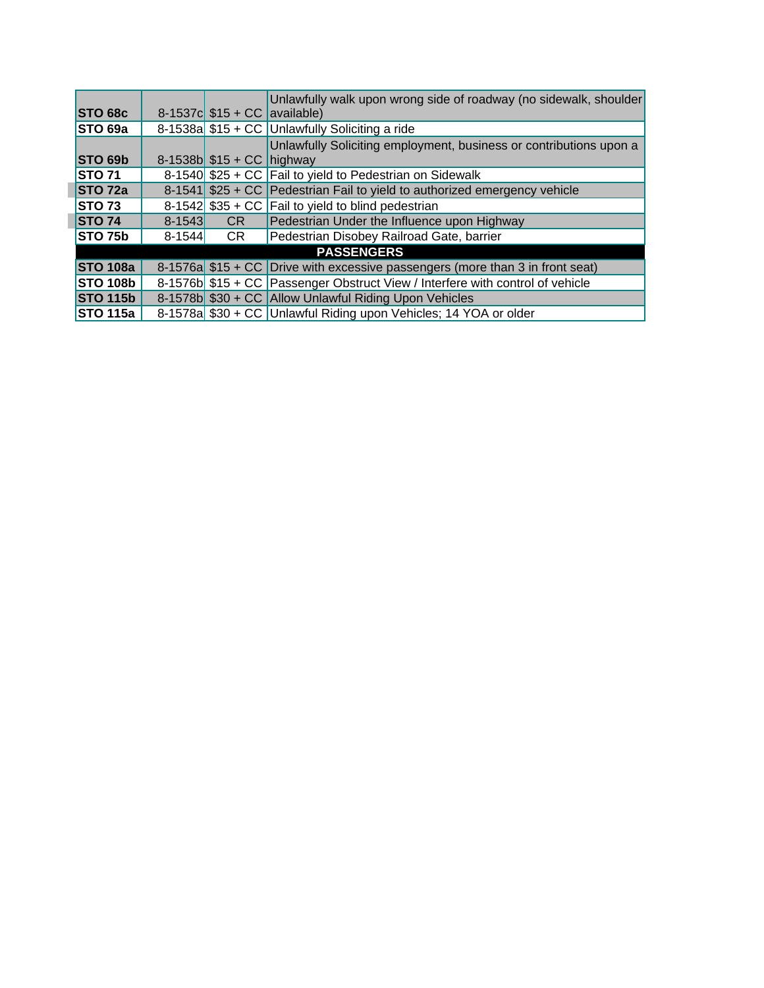|                    |            |                               | Unlawfully walk upon wrong side of roadway (no sidewalk, shoulder              |
|--------------------|------------|-------------------------------|--------------------------------------------------------------------------------|
| STO 68c            |            | 8-1537c $$15 + CC$ available) |                                                                                |
| STO 69a            |            |                               | 8-1538a \$15 + CC Unlawfully Soliciting a ride                                 |
|                    |            |                               | Unlawfully Soliciting employment, business or contributions upon a             |
| STO 69b            |            | 8-1538b $$15 + CC$ highway    |                                                                                |
| <b>STO 71</b>      |            |                               | 8-1540 \$25 + CC   Fail to yield to Pedestrian on Sidewalk                     |
| STO <sub>72a</sub> |            |                               | 8-1541 $$25 + CC$ Pedestrian Fail to yield to authorized emergency vehicle     |
| <b>STO 73</b>      |            |                               | 8-1542 $$35 + CC$ Fail to yield to blind pedestrian                            |
| <b>STO 74</b>      | $8 - 1543$ | CR.                           | Pedestrian Under the Influence upon Highway                                    |
| <b>STO 75b</b>     | $8 - 1544$ | CR                            | Pedestrian Disobey Railroad Gate, barrier                                      |
| <b>PASSENGERS</b>  |            |                               |                                                                                |
| <b>STO 108a</b>    |            |                               | 8-1576a $$15 + CC$ Drive with excessive passengers (more than 3 in front seat) |
| <b>STO 108b</b>    |            |                               | 8-1576b \$15 + CC Passenger Obstruct View / Interfere with control of vehicle  |
| <b>STO 115b</b>    |            |                               | 8-1578b \$30 + CC Allow Unlawful Riding Upon Vehicles                          |
| <b>STO 115a</b>    |            |                               | 8-1578a \$30 + CC Unlawful Riding upon Vehicles; 14 YOA or older               |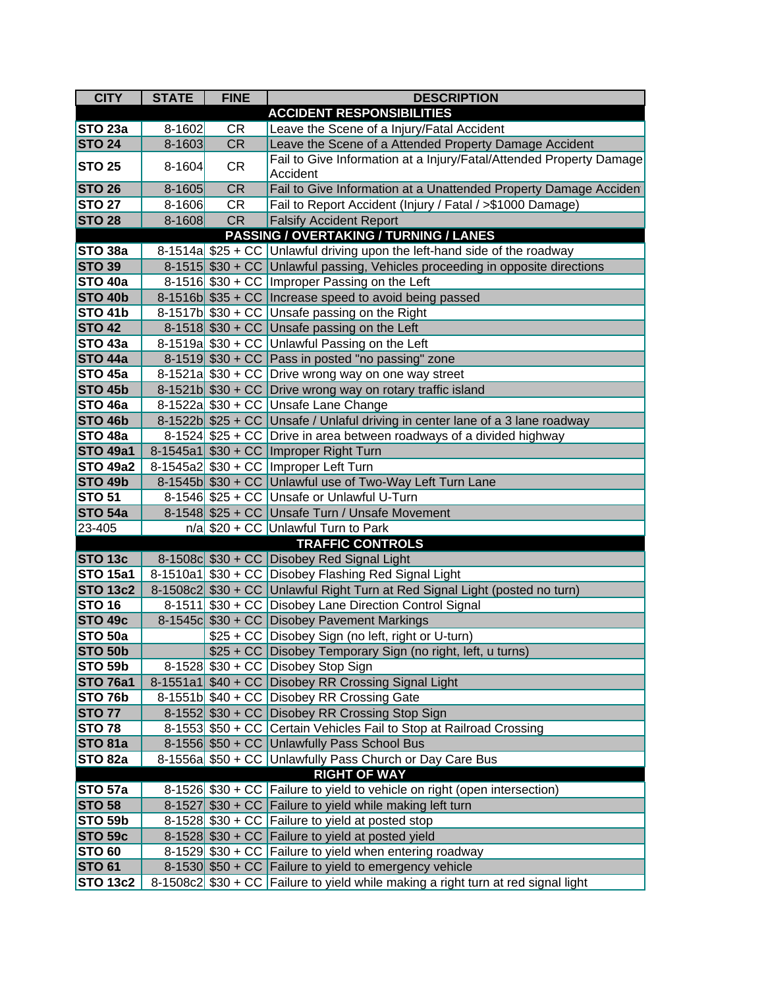| <b>CITY</b>                     | <b>STATE</b> | <b>FINE</b> | <b>DESCRIPTION</b>                                                                               |
|---------------------------------|--------------|-------------|--------------------------------------------------------------------------------------------------|
|                                 |              |             | <b>ACCIDENT RESPONSIBILITIES</b>                                                                 |
| <b>STO 23a</b>                  | $8 - 1602$   | <b>CR</b>   | Leave the Scene of a Injury/Fatal Accident                                                       |
| <b>STO 24</b>                   | 8-1603       | <b>CR</b>   | Leave the Scene of a Attended Property Damage Accident                                           |
| <b>STO 25</b>                   | $8 - 1604$   | <b>CR</b>   | Fail to Give Information at a Injury/Fatal/Attended Property Damage<br>Accident                  |
| <b>STO 26</b>                   | 8-1605       | CR          | Fail to Give Information at a Unattended Property Damage Acciden                                 |
| <b>STO 27</b>                   | $8 - 1606$   | <b>CR</b>   | Fail to Report Accident (Injury / Fatal / >\$1000 Damage)                                        |
| <b>STO 28</b>                   | $8 - 1608$   | <b>CR</b>   | <b>Falsify Accident Report</b>                                                                   |
|                                 |              |             | PASSING / OVERTAKING / TURNING / LANES                                                           |
| STO <sub>38a</sub>              |              |             | 8-1514a $$25 + CC$ Unlawful driving upon the left-hand side of the roadway                       |
| <b>STO 39</b>                   |              |             | 8-1515 \$30 + CC Unlawful passing, Vehicles proceeding in opposite directions                    |
| <b>STO 40a</b>                  |              |             | 8-1516 \$30 + CC   Improper Passing on the Left                                                  |
| <b>STO 40b</b>                  |              |             | 8-1516b \$35 + CC Increase speed to avoid being passed                                           |
| <b>STO 41b</b>                  |              |             | 8-1517b $$30 + CC$ Unsafe passing on the Right                                                   |
| <b>STO 42</b>                   |              |             | 8-1518 $$30 + CC$ Unsafe passing on the Left                                                     |
| <b>STO 43a</b>                  |              |             | 8-1519a \$30 + CC Unlawful Passing on the Left                                                   |
| <b>STO 44a</b>                  |              |             | 8-1519 $$30 + CC$ Pass in posted "no passing" zone                                               |
| <b>STO 45a</b>                  |              |             | 8-1521a \$30 + CC Drive wrong way on one way street                                              |
| <b>STO 45b</b>                  |              |             | 8-1521b \$30 + CC Drive wrong way on rotary traffic island                                       |
| <b>STO 46a</b>                  |              |             | 8-1522a \$30 + CC Unsafe Lane Change                                                             |
| <b>STO 46b</b>                  |              |             | 8-1522b \$25 + CC Unsafe / Unlaful driving in center lane of a 3 lane roadway                    |
| <b>STO 48a</b>                  |              |             | 8-1524 $$25 + CC$ Drive in area between roadways of a divided highway                            |
| <b>STO 49a1</b>                 |              |             | 8-1545a1 \$30 + CC   Improper Right Turn                                                         |
| <b>STO 49a2</b>                 |              |             | 8-1545a2 \$30 + CC   Improper Left Turn                                                          |
| <b>STO 49b</b>                  |              |             | 8-1545b \$30 + CC Unlawful use of Two-Way Left Turn Lane                                         |
| <b>STO 51</b>                   |              |             | 8-1546 \$25 + CC Unsafe or Unlawful U-Turn                                                       |
| <b>STO 54a</b>                  |              |             | 8-1548 \$25 + CC Unsafe Turn / Unsafe Movement                                                   |
| 23-405                          |              |             | $n/a$ \$20 + CC Unlawful Turn to Park                                                            |
|                                 |              |             | <b>TRAFFIC CONTROLS</b>                                                                          |
| <b>STO 13c</b>                  |              |             | 8-1508c \$30 + CC Disobey Red Signal Light                                                       |
| <b>STO 15a1</b>                 |              |             | 8-1510a1 \$30 + CC Disobey Flashing Red Signal Light                                             |
| <b>STO 13c2</b>                 |              |             | 8-1508c2 \$30 + CC Unlawful Right Turn at Red Signal Light (posted no turn)                      |
| <b>STO 16</b>                   |              |             | 8-1511 \$30 + CC Disobey Lane Direction Control Signal                                           |
| <b>STO 49c</b>                  |              |             | 8-1545c \$30 + CC Disobey Pavement Markings                                                      |
| <b>STO 50a</b>                  |              |             | \$25 + CC Disobey Sign (no left, right or U-turn)                                                |
| <b>STO 50b</b>                  |              |             | \$25 + CC Disobey Temporary Sign (no right, left, u turns)                                       |
| <b>STO 59b</b>                  |              |             | 8-1528 \$30 + CC Disobey Stop Sign                                                               |
| <b>STO 76a1</b>                 |              |             | 8-1551a1 \$40 + CC Disobey RR Crossing Signal Light                                              |
| <b>STO 76b</b>                  |              |             | 8-1551b \$40 + CC Disobey RR Crossing Gate                                                       |
| <b>STO 77</b>                   |              |             | 8-1552 \$30 + CC Disobey RR Crossing Stop Sign                                                   |
| <b>STO 78</b>                   |              |             | 8-1553 \$50 + CC Certain Vehicles Fail to Stop at Railroad Crossing                              |
| <b>STO 81a</b>                  |              |             | 8-1556 \$50 + CC Unlawfully Pass School Bus                                                      |
| STO <sub>82a</sub>              |              |             | 8-1556a \$50 + CC Unlawfully Pass Church or Day Care Bus                                         |
|                                 |              |             | <b>RIGHT OF WAY</b><br>8-1526 \$30 + CC Failure to yield to vehicle on right (open intersection) |
| <b>STO 57a</b>                  |              |             | 8-1527 $$30 + CC$ Failure to yield while making left turn                                        |
| <b>STO 58</b><br><b>STO 59b</b> |              |             | 8-1528 $$30 + CC$ Failure to yield at posted stop                                                |
| <b>STO 59c</b>                  |              |             | 8-1528 \$30 + CC Failure to yield at posted yield                                                |
| <b>STO 60</b>                   |              |             | 8-1529 \$30 + CC   Failure to yield when entering roadway                                        |
| <b>STO 61</b>                   |              |             | 8-1530 \$50 + CC Failure to yield to emergency vehicle                                           |
| <b>STO 13c2</b>                 |              |             | 8-1508c2 \$30 + CC Failure to yield while making a right turn at red signal light                |
|                                 |              |             |                                                                                                  |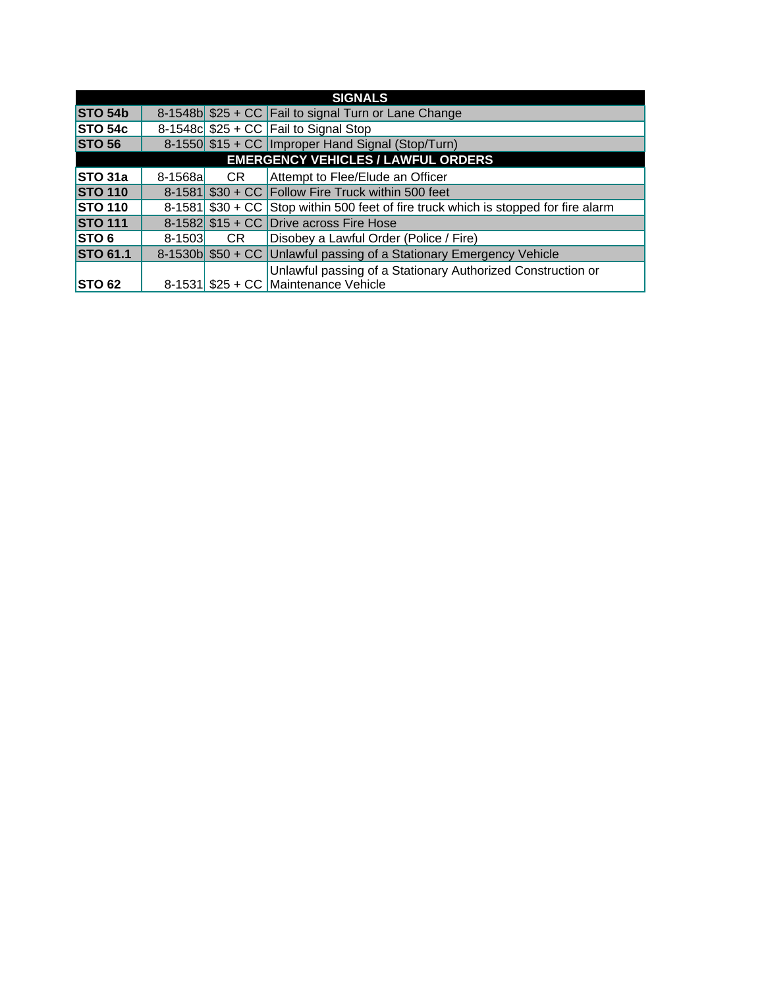| <b>SIGNALS</b>                            |            |    |                                                                                     |
|-------------------------------------------|------------|----|-------------------------------------------------------------------------------------|
| <b>STO 54b</b>                            |            |    | 8-1548b \$25 + CC Fail to signal Turn or Lane Change                                |
| <b>STO 54c</b>                            |            |    | 8-1548c $$25 + CC$ Fail to Signal Stop                                              |
| <b>STO 56</b>                             |            |    | 8-1550 \$15 + CC   Improper Hand Signal (Stop/Turn)                                 |
| <b>EMERGENCY VEHICLES / LAWFUL ORDERS</b> |            |    |                                                                                     |
| STO <sub>31a</sub>                        | $8-1568a$  | CR | Attempt to Flee/Elude an Officer                                                    |
| <b>STO 110</b>                            |            |    | $8-1581$ \$30 + CC Follow Fire Truck within 500 feet                                |
| <b>STO 110</b>                            |            |    | 8-1581 \$30 + CC Stop within 500 feet of fire truck which is stopped for fire alarm |
| <b>STO 111</b>                            |            |    | 8-1582 $$15 + CC$ Drive across Fire Hose                                            |
| STO6                                      | $8 - 1503$ | CR | Disobey a Lawful Order (Police / Fire)                                              |
| <b>STO 61.1</b>                           |            |    | 8-1530b \$50 + CC Unlawful passing of a Stationary Emergency Vehicle                |
|                                           |            |    | Unlawful passing of a Stationary Authorized Construction or                         |
| <b>STO 62</b>                             |            |    | 8-1531 \$25 + CC Maintenance Vehicle                                                |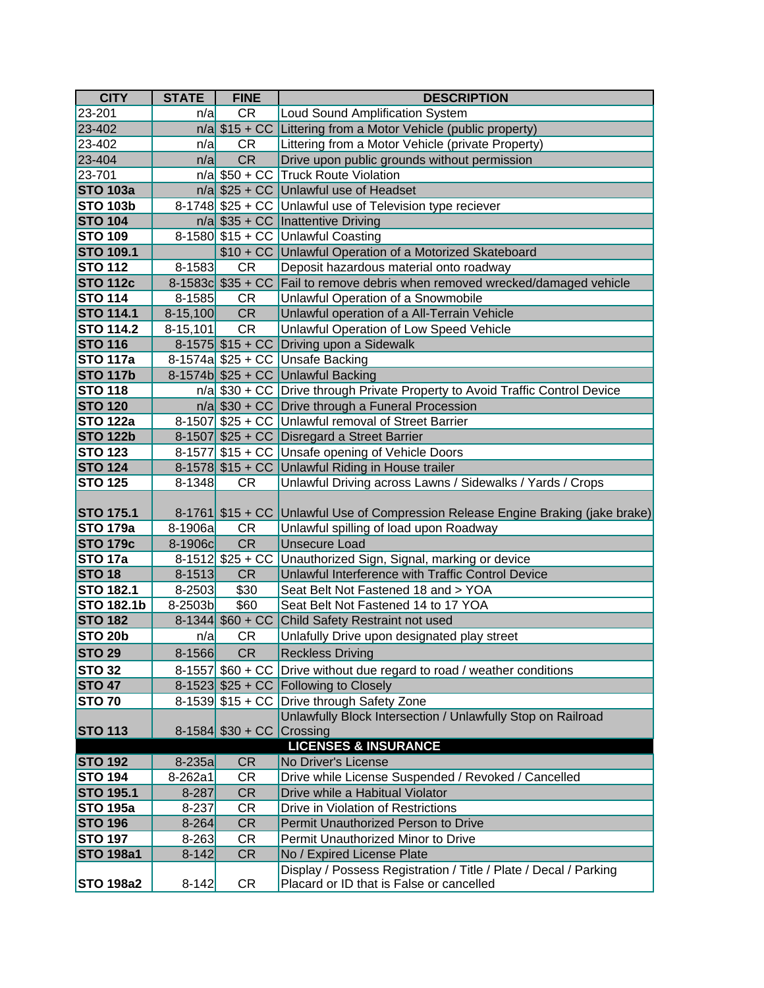| <b>CITY</b>       | <b>STATE</b> | <b>FINE</b>               | <b>DESCRIPTION</b>                                                               |
|-------------------|--------------|---------------------------|----------------------------------------------------------------------------------|
| 23-201            | n/a          | <b>CR</b>                 | Loud Sound Amplification System                                                  |
| 23-402            |              |                           | $n/a$ \$15 + CC Littering from a Motor Vehicle (public property)                 |
| 23-402            | n/a          | CR                        | Littering from a Motor Vehicle (private Property)                                |
| 23-404            | n/a          | CR                        | Drive upon public grounds without permission                                     |
| 23-701            |              |                           | $n/a$ \$50 + CC Truck Route Violation                                            |
| <b>STO 103a</b>   |              |                           | $n/a$ \$25 + CC Unlawful use of Headset                                          |
| <b>STO 103b</b>   |              |                           | 8-1748 \$25 + CC Unlawful use of Television type reciever                        |
| <b>STO 104</b>    |              |                           | $n/a$ \$35 + CC   Inattentive Driving                                            |
| <b>STO 109</b>    |              |                           | 8-1580 \$15 + CC Unlawful Coasting                                               |
| <b>STO 109.1</b>  |              |                           | \$10 + CC Unlawful Operation of a Motorized Skateboard                           |
| <b>STO 112</b>    | $8 - 1583$   | <b>CR</b>                 | Deposit hazardous material onto roadway                                          |
| <b>STO 112c</b>   |              |                           | 8-1583c \$35 + CC Fail to remove debris when removed wrecked/damaged vehicle     |
| <b>STO 114</b>    | $8 - 1585$   | <b>CR</b>                 | Unlawful Operation of a Snowmobile                                               |
| <b>STO 114.1</b>  | $8-15,100$   | <b>CR</b>                 | Unlawful operation of a All-Terrain Vehicle                                      |
| <b>STO 114.2</b>  | $8-15,101$   | <b>CR</b>                 | Unlawful Operation of Low Speed Vehicle                                          |
| <b>STO 116</b>    |              |                           | 8-1575 $$15 + CC$ Driving upon a Sidewalk                                        |
| <b>STO 117a</b>   |              |                           | 8-1574a $$25 + CC$ Unsafe Backing                                                |
| <b>STO 117b</b>   |              |                           | 8-1574b \$25 + CC Unlawful Backing                                               |
| <b>STO 118</b>    |              |                           | n/a \$30 + CC Drive through Private Property to Avoid Traffic Control Device     |
| <b>STO 120</b>    |              |                           | $n/a$ \$30 + CC Drive through a Funeral Procession                               |
| <b>STO 122a</b>   |              |                           | 8-1507 \$25 + CC Unlawful removal of Street Barrier                              |
| <b>STO 122b</b>   |              |                           | 8-1507 \$25 + CC Disregard a Street Barrier                                      |
| <b>STO 123</b>    |              |                           | 8-1577 \$15 + CC Unsafe opening of Vehicle Doors                                 |
| <b>STO 124</b>    |              |                           | 8-1578 \$15 + CC Unlawful Riding in House trailer                                |
| <b>STO 125</b>    | $8 - 1348$   | <b>CR</b>                 | Unlawful Driving across Lawns / Sidewalks / Yards / Crops                        |
|                   |              |                           |                                                                                  |
| <b>STO 175.1</b>  |              |                           | 8-1761 \$15 + CC Unlawful Use of Compression Release Engine Braking (jake brake) |
| <b>STO 179a</b>   | $8-1906a$    | <b>CR</b>                 | Unlawful spilling of load upon Roadway                                           |
| <b>STO 179c</b>   | 8-1906c      | <b>CR</b>                 | <b>Unsecure Load</b>                                                             |
| <b>STO 17a</b>    |              | 8-1512 $$25 + CC$         | Unauthorized Sign, Signal, marking or device                                     |
| <b>STO 18</b>     | $8 - 1513$   | <b>CR</b>                 | Unlawful Interference with Traffic Control Device                                |
| <b>STO 182.1</b>  | $8 - 2503$   | \$30                      | Seat Belt Not Fastened 18 and > YOA                                              |
| <b>STO 182.1b</b> | 8-2503b      | \$60                      | Seat Belt Not Fastened 14 to 17 YOA                                              |
| <b>STO 182</b>    |              | 8-1344 $$60 + CC$         | Child Safety Restraint not used                                                  |
| <b>STO 20b</b>    | n/a          | CR                        | Unlafully Drive upon designated play street                                      |
| STO <sub>29</sub> | $8 - 1566$   | <b>CR</b>                 | <b>Reckless Driving</b>                                                          |
| <b>STO 32</b>     |              |                           | 8-1557 \$60 + CC Drive without due regard to road / weather conditions           |
| <b>STO 47</b>     |              |                           | 8-1523 \$25 + CC Following to Closely                                            |
| <b>STO 70</b>     |              |                           | 8-1539 \$15 + CC Drive through Safety Zone                                       |
|                   |              |                           | Unlawfully Block Intersection / Unlawfully Stop on Railroad                      |
| <b>STO 113</b>    |              | 8-1584 \$30 + CC Crossing |                                                                                  |
|                   |              |                           | <b>LICENSES &amp; INSURANCE</b>                                                  |
| <b>STO 192</b>    | $8-235a$     | <b>CR</b>                 | No Driver's License                                                              |
| <b>STO 194</b>    | 8-262a1      | CR                        | Drive while License Suspended / Revoked / Cancelled                              |
| <b>STO 195.1</b>  | 8-287        | <b>CR</b>                 | Drive while a Habitual Violator                                                  |
| <b>STO 195a</b>   | 8-237        | <b>CR</b>                 | Drive in Violation of Restrictions                                               |
| <b>STO 196</b>    | $8 - 264$    | <b>CR</b>                 | Permit Unauthorized Person to Drive                                              |
| <b>STO 197</b>    | $8 - 263$    | <b>CR</b>                 | Permit Unauthorized Minor to Drive                                               |
| <b>STO 198a1</b>  | $8 - 142$    | <b>CR</b>                 | No / Expired License Plate                                                       |
|                   |              |                           | Display / Possess Registration / Title / Plate / Decal / Parking                 |
| <b>STO 198a2</b>  | $8 - 142$    | <b>CR</b>                 | Placard or ID that is False or cancelled                                         |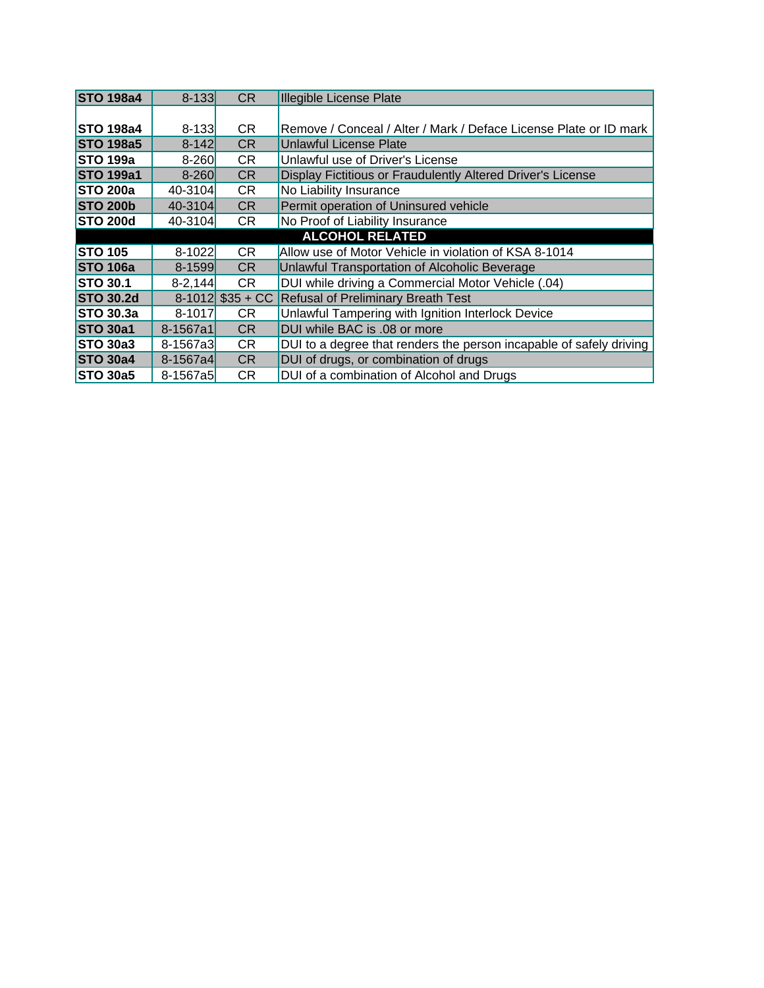| <b>STO 198a4</b>       | $8 - 133$    | <b>CR</b>          | <b>Illegible License Plate</b>                                      |
|------------------------|--------------|--------------------|---------------------------------------------------------------------|
|                        |              |                    |                                                                     |
| <b>STO 198a4</b>       | $8 - 133$    | CR.                | Remove / Conceal / Alter / Mark / Deface License Plate or ID mark   |
| <b>STO 198a5</b>       | $8 - 142$    | CR.                | Unlawful License Plate                                              |
| <b>STO 199a</b>        | $8 - 260$    | CR.                | Unlawful use of Driver's License                                    |
| <b>STO 199a1</b>       | $8 - 260$    | CR                 | Display Fictitious or Fraudulently Altered Driver's License         |
| <b>STO 200a</b>        | 40-3104      | <b>CR</b>          | No Liability Insurance                                              |
| <b>STO 200b</b>        | 40-3104      | CR                 | Permit operation of Uninsured vehicle                               |
| <b>STO 200d</b>        | 40-3104      | CR                 | No Proof of Liability Insurance                                     |
| <b>ALCOHOL RELATED</b> |              |                    |                                                                     |
| <b>STO 105</b>         | $8-1022$     | CR                 | Allow use of Motor Vehicle in violation of KSA 8-1014               |
| <b>STO 106a</b>        | 8-1599       | <b>CR</b>          | Unlawful Transportation of Alcoholic Beverage                       |
| <b>STO 30.1</b>        | $8 - 2,144$  | <b>CR</b>          | DUI while driving a Commercial Motor Vehicle (.04)                  |
| <b>STO 30.2d</b>       |              | $8-1012$ \$35 + CC | Refusal of Preliminary Breath Test                                  |
| <b>STO 30.3a</b>       | $8 - 1017$   | CR.                | Unlawful Tampering with Ignition Interlock Device                   |
| <b>STO 30a1</b>        | 8-1567a1     | CR                 | DUI while BAC is .08 or more                                        |
| STO 30a3               | $8 - 1567a3$ | CR.                | DUI to a degree that renders the person incapable of safely driving |
| <b>STO 30a4</b>        | 8-1567a4     | <b>CR</b>          | DUI of drugs, or combination of drugs                               |
| <b>STO 30a5</b>        | 8-1567a5     | CR.                | DUI of a combination of Alcohol and Drugs                           |